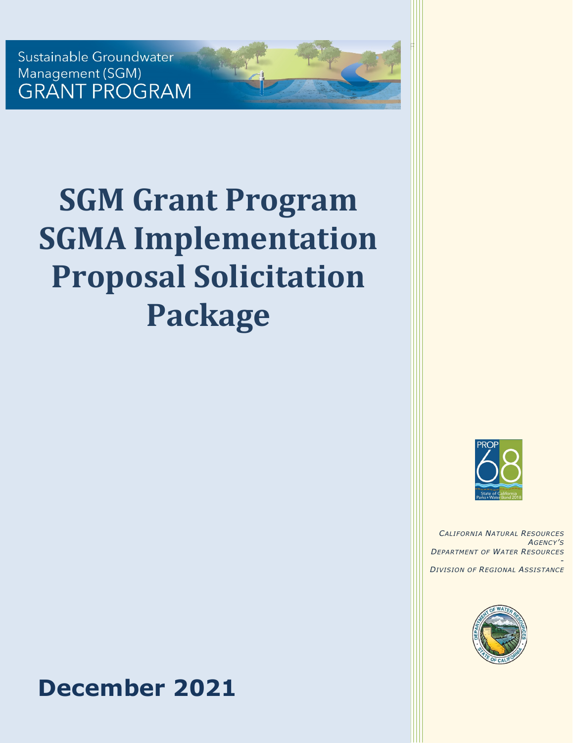Sustainable Groundwater Management (SGM) **GRÄNT PROGRAM** 

# **SGM Grant Program SGMA Implementation Proposal Solicitation Package**



F

*CALIFORNIA NATURAL RESOURCES AGENCY'S DEPARTMENT OF WATER RESOURCES - DIVISION OF REGIONAL ASSISTANCE*



**December 2021**

*SGM Implementation Proposal Solicitation Package 0*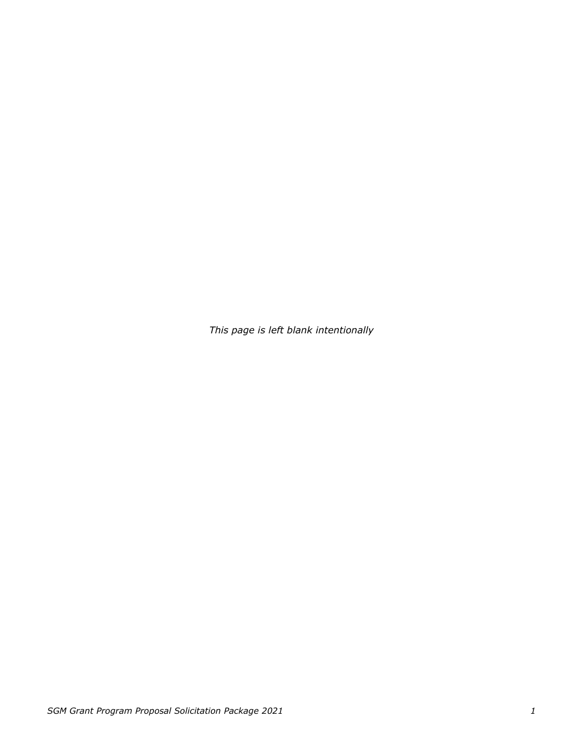*This page is left blank intentionally*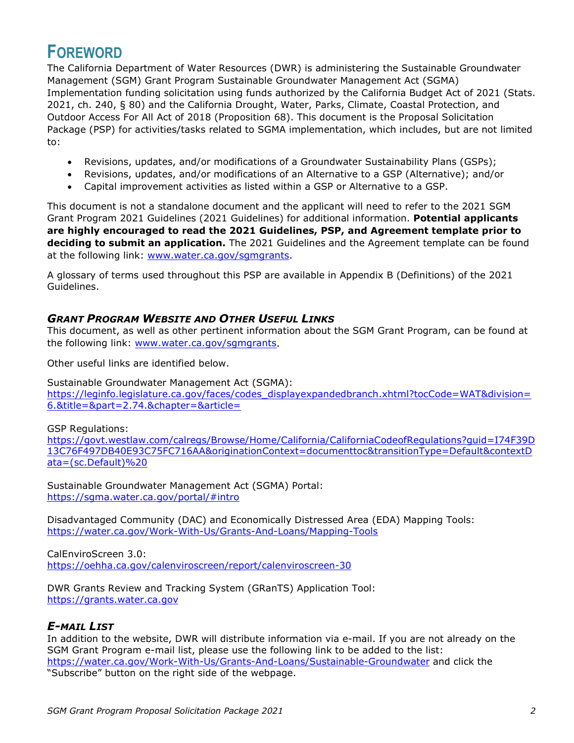# **FOREWORD**

The California Department of Water Resources (DWR) is administering the Sustainable Groundwater Management (SGM) Grant Program Sustainable Groundwater Management Act (SGMA) Implementation funding solicitation using funds authorized by the California Budget Act of 2021 (Stats. 2021, ch. 240, § 80) and the California Drought, Water, Parks, Climate, Coastal Protection, and Outdoor Access For All Act of 2018 (Proposition 68). This document is the Proposal Solicitation Package (PSP) for activities/tasks related to SGMA implementation, which includes, but are not limited to:

- Revisions, updates, and/or modifications of a Groundwater Sustainability Plans (GSPs);
- Revisions, updates, and/or modifications of an Alternative to a GSP (Alternative); and/or
- Capital improvement activities as listed within a GSP or Alternative to a GSP.

This document is not a standalone document and the applicant will need to refer to the 2021 SGM Grant Program 2021 Guidelines (2021 Guidelines) for additional information. **Potential applicants are highly encouraged to read the 2021 Guidelines, PSP, and Agreement template prior to deciding to submit an application.** The 2021 Guidelines and the Agreement template can be found at the following link: [www.water.ca.gov/sgmgrants.](http://www.water.ca.gov/sgmgrants)

A glossary of terms used throughout this PSP are available in Appendix B (Definitions) of the 2021 Guidelines.

#### *GRANT PROGRAM WEBSITE AND OTHER USEFUL LINKS*

This document, as well as other pertinent information about the SGM Grant Program, can be found at the following link: [www.water.ca.gov/sgmgrants.](http://www.water.ca.gov/sgmgrants)

Other useful links are identified below.

Sustainable Groundwater Management Act (SGMA): [https://leginfo.legislature.ca.gov/faces/codes\\_displayexpandedbranch.xhtml?tocCode=WAT&division=](https://leginfo.legislature.ca.gov/faces/codes_displayexpandedbranch.xhtml?tocCode=WAT&division=6.&title=&part=2.74.&chapter=&article=) [6.&title=&part=2.74.&chapter=&article=](https://leginfo.legislature.ca.gov/faces/codes_displayexpandedbranch.xhtml?tocCode=WAT&division=6.&title=&part=2.74.&chapter=&article=)

GSP Regulations:

[https://govt.westlaw.com/calregs/Browse/Home/California/CaliforniaCodeofRegulations?guid=I74F39D](https://govt.westlaw.com/calregs/Browse/Home/California/CaliforniaCodeofRegulations?guid=I74F39D13C76F497DB40E93C75FC716AA&originationContext=documenttoc&transitionType=Default&contextData=(sc.Default)%20) [13C76F497DB40E93C75FC716AA&originationContext=documenttoc&transitionType=Default&contextD](https://govt.westlaw.com/calregs/Browse/Home/California/CaliforniaCodeofRegulations?guid=I74F39D13C76F497DB40E93C75FC716AA&originationContext=documenttoc&transitionType=Default&contextData=(sc.Default)%20) [ata=\(sc.Default\)%20](https://govt.westlaw.com/calregs/Browse/Home/California/CaliforniaCodeofRegulations?guid=I74F39D13C76F497DB40E93C75FC716AA&originationContext=documenttoc&transitionType=Default&contextData=(sc.Default)%20)

Sustainable Groundwater Management Act (SGMA) Portal: <https://sgma.water.ca.gov/portal/#intro>

Disadvantaged Community (DAC) and Economically Distressed Area (EDA) Mapping Tools: <https://water.ca.gov/Work-With-Us/Grants-And-Loans/Mapping-Tools>

CalEnviroScreen 3.0: <https://oehha.ca.gov/calenviroscreen/report/calenviroscreen-30>

DWR Grants Review and Tracking System (GRanTS) Application Tool: [https://grants.water.ca.gov](https://grants.water.ca.gov/)

### *E-MAIL LIST*

In addition to the website, DWR will distribute information via e-mail. If you are not already on the SGM Grant Program e-mail list, please use the following link to be added to the list: <https://water.ca.gov/Work-With-Us/Grants-And-Loans/Sustainable-Groundwater> and click the "Subscribe" button on the right side of the webpage.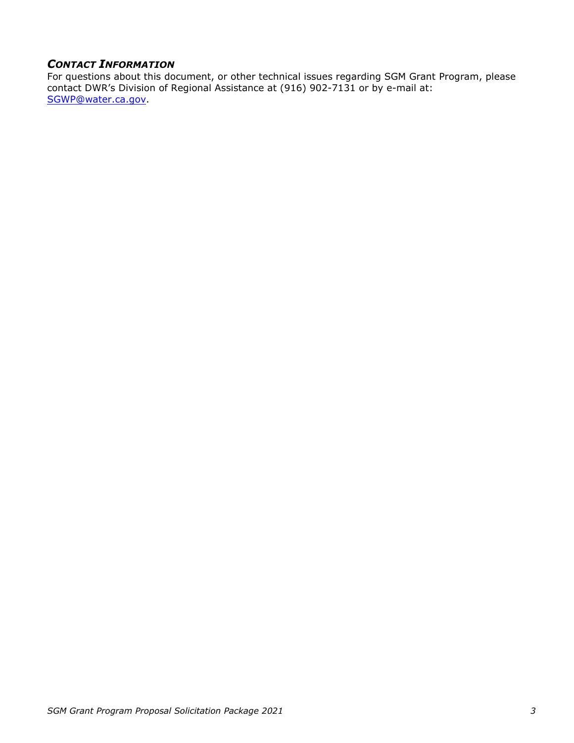#### *CONTACT INFORMATION*

For questions about this document, or other technical issues regarding SGM Grant Program, please contact DWR's Division of Regional Assistance at (916) 902-7131 or by e-mail at: [SGWP@water.ca.gov.](mailto:SGWP@water.ca.gov)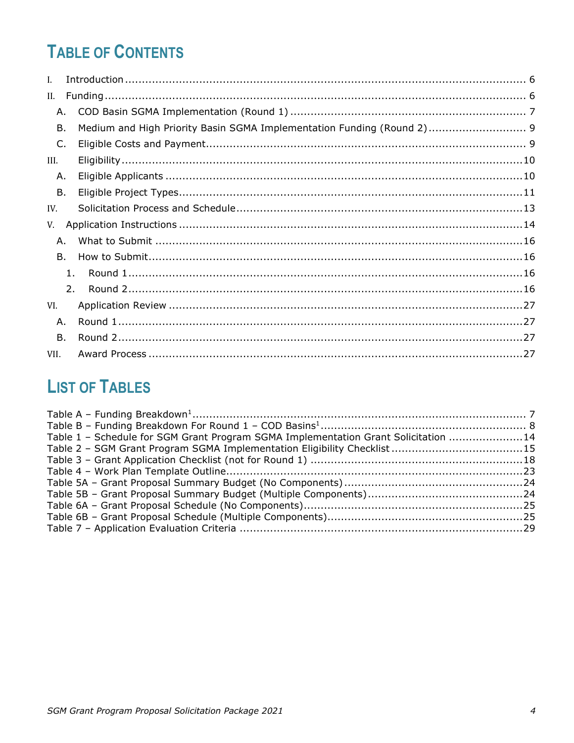# **TABLE OF CONTENTS**

| L.        |                |                                                                        |
|-----------|----------------|------------------------------------------------------------------------|
| Н.        |                |                                                                        |
| Α.        |                |                                                                        |
| Β.        |                | Medium and High Priority Basin SGMA Implementation Funding (Round 2) 9 |
| C.        |                |                                                                        |
| III.      |                |                                                                        |
| Α.        |                |                                                                        |
| Β.        |                |                                                                        |
| IV.       |                |                                                                        |
| $V_{-}$   |                |                                                                        |
| Α.        |                |                                                                        |
| <b>B.</b> |                |                                                                        |
|           | 1 <sub>1</sub> |                                                                        |
|           | 2.             |                                                                        |
| VI.       |                |                                                                        |
| Α.        |                |                                                                        |
| <b>B.</b> |                |                                                                        |
| VII.      |                |                                                                        |

# **LIST OF TABLES**

| Table 1 - Schedule for SGM Grant Program SGMA Implementation Grant Solicitation 14 |  |
|------------------------------------------------------------------------------------|--|
| Table 2 - SGM Grant Program SGMA Implementation Eligibility Checklist 15           |  |
|                                                                                    |  |
|                                                                                    |  |
|                                                                                    |  |
|                                                                                    |  |
|                                                                                    |  |
|                                                                                    |  |
|                                                                                    |  |
|                                                                                    |  |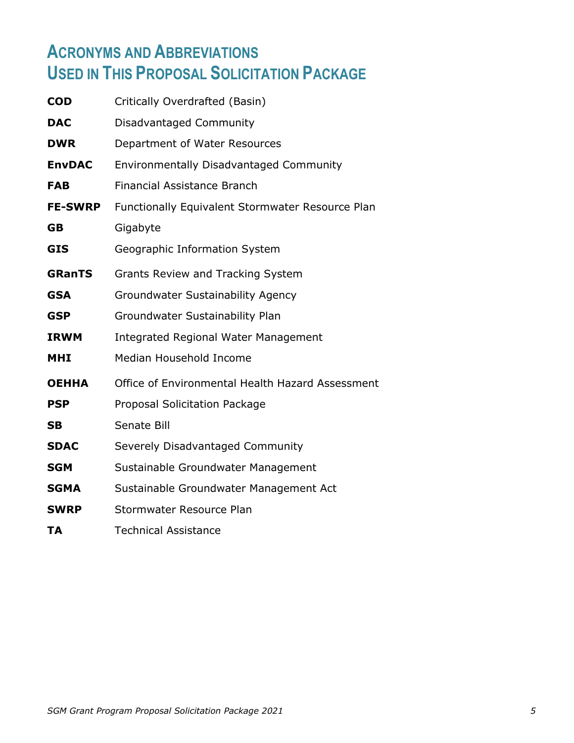# **ACRONYMS AND ABBREVIATIONS USED IN THIS PROPOSAL SOLICITATION PACKAGE**

| <b>COD</b>     | Critically Overdrafted (Basin)                   |
|----------------|--------------------------------------------------|
| <b>DAC</b>     | Disadvantaged Community                          |
| <b>DWR</b>     | Department of Water Resources                    |
| <b>EnvDAC</b>  | Environmentally Disadvantaged Community          |
| <b>FAB</b>     | Financial Assistance Branch                      |
| <b>FE-SWRP</b> | Functionally Equivalent Stormwater Resource Plan |
| <b>GB</b>      | Gigabyte                                         |
| <b>GIS</b>     | Geographic Information System                    |
| <b>GRanTS</b>  | <b>Grants Review and Tracking System</b>         |
| <b>GSA</b>     | Groundwater Sustainability Agency                |
| <b>GSP</b>     | Groundwater Sustainability Plan                  |
| <b>IRWM</b>    | <b>Integrated Regional Water Management</b>      |
| <b>MHI</b>     | Median Household Income                          |
| <b>OEHHA</b>   | Office of Environmental Health Hazard Assessment |
| <b>PSP</b>     | Proposal Solicitation Package                    |
| <b>SB</b>      | Senate Bill                                      |
| <b>SDAC</b>    | Severely Disadvantaged Community                 |
| <b>SGM</b>     | Sustainable Groundwater Management               |
| <b>SGMA</b>    | Sustainable Groundwater Management Act           |
| <b>SWRP</b>    | Stormwater Resource Plan                         |
| TA             | <b>Technical Assistance</b>                      |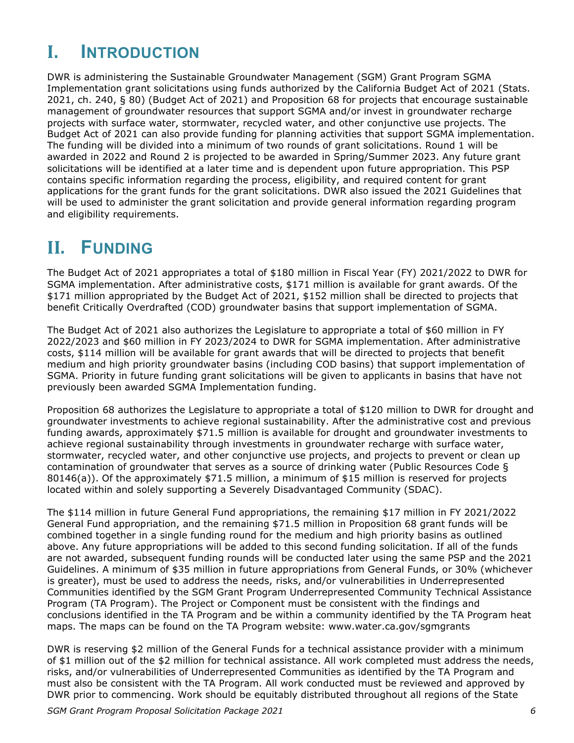# <span id="page-6-0"></span>**I. INTRODUCTION**

DWR is administering the Sustainable Groundwater Management (SGM) Grant Program SGMA Implementation grant solicitations using funds authorized by the California Budget Act of 2021 (Stats. 2021, ch. 240, § 80) (Budget Act of 2021) and Proposition 68 for projects that encourage sustainable management of groundwater resources that support SGMA and/or invest in groundwater recharge projects with surface water, stormwater, recycled water, and other conjunctive use projects. The Budget Act of 2021 can also provide funding for planning activities that support SGMA implementation. The funding will be divided into a minimum of two rounds of grant solicitations. Round 1 will be awarded in 2022 and Round 2 is projected to be awarded in Spring/Summer 2023. Any future grant solicitations will be identified at a later time and is dependent upon future appropriation. This PSP contains specific information regarding the process, eligibility, and required content for grant applications for the grant funds for the grant solicitations. DWR also issued the 2021 Guidelines that will be used to administer the grant solicitation and provide general information regarding program and eligibility requirements.

# <span id="page-6-1"></span>**II. FUNDING**

The Budget Act of 2021 appropriates a total of \$180 million in Fiscal Year (FY) 2021/2022 to DWR for SGMA implementation. After administrative costs, \$171 million is available for grant awards. Of the \$171 million appropriated by the Budget Act of 2021, \$152 million shall be directed to projects that benefit Critically Overdrafted (COD) groundwater basins that support implementation of SGMA.

The Budget Act of 2021 also authorizes the Legislature to appropriate a total of \$60 million in FY 2022/2023 and \$60 million in FY 2023/2024 to DWR for SGMA implementation. After administrative costs, \$114 million will be available for grant awards that will be directed to projects that benefit medium and high priority groundwater basins (including COD basins) that support implementation of SGMA. Priority in future funding grant solicitations will be given to applicants in basins that have not previously been awarded SGMA Implementation funding.

Proposition 68 authorizes the Legislature to appropriate a total of \$120 million to DWR for drought and groundwater investments to achieve regional sustainability. After the administrative cost and previous funding awards, approximately \$71.5 million is available for drought and groundwater investments to achieve regional sustainability through investments in groundwater recharge with surface water, stormwater, recycled water, and other conjunctive use projects, and projects to prevent or clean up contamination of groundwater that serves as a source of drinking water (Public Resources Code § 80146(a)). Of the approximately \$71.5 million, a minimum of \$15 million is reserved for projects located within and solely supporting a Severely Disadvantaged Community (SDAC).

The \$114 million in future General Fund appropriations, the remaining \$17 million in FY 2021/2022 General Fund appropriation, and the remaining \$71.5 million in Proposition 68 grant funds will be combined together in a single funding round for the medium and high priority basins as outlined above. Any future appropriations will be added to this second funding solicitation. If all of the funds are not awarded, subsequent funding rounds will be conducted later using the same PSP and the 2021 Guidelines. A minimum of \$35 million in future appropriations from General Funds, or 30% (whichever is greater), must be used to address the needs, risks, and/or vulnerabilities in Underrepresented Communities identified by the SGM Grant Program Underrepresented Community Technical Assistance Program (TA Program). The Project or Component must be consistent with the findings and conclusions identified in the TA Program and be within a community identified by the TA Program heat maps. The maps can be found on the TA Program website: www.water.ca.gov/sgmgrants

DWR is reserving \$2 million of the General Funds for a technical assistance provider with a minimum of \$1 million out of the \$2 million for technical assistance. All work completed must address the needs, risks, and/or vulnerabilities of Underrepresented Communities as identified by the TA Program and must also be consistent with the TA Program. All work conducted must be reviewed and approved by DWR prior to commencing. Work should be equitably distributed throughout all regions of the State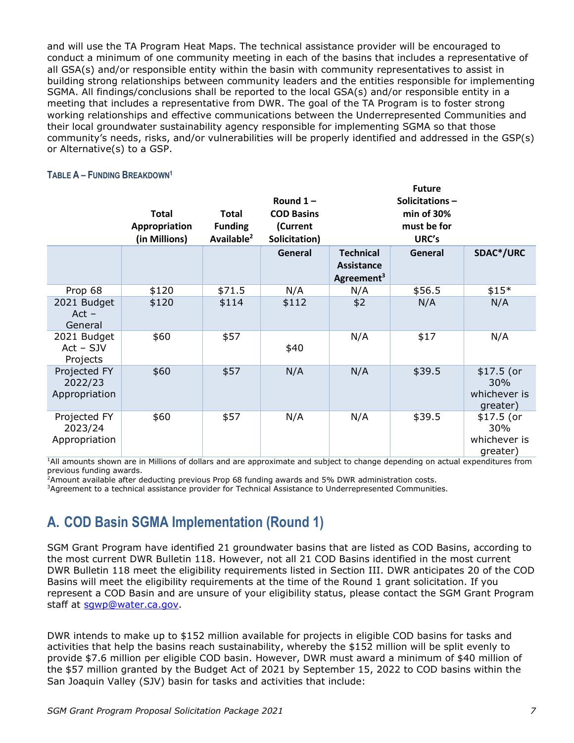and will use the TA Program Heat Maps. The technical assistance provider will be encouraged to conduct a minimum of one community meeting in each of the basins that includes a representative of all GSA(s) and/or responsible entity within the basin with community representatives to assist in building strong relationships between community leaders and the entities responsible for implementing SGMA. All findings/conclusions shall be reported to the local GSA(s) and/or responsible entity in a meeting that includes a representative from DWR. The goal of the TA Program is to foster strong working relationships and effective communications between the Underrepresented Communities and their local groundwater sustainability agency responsible for implementing SGMA so that those community's needs, risks, and/or vulnerabilities will be properly identified and addressed in the GSP(s) or Alternative(s) to a GSP.

**Future** 

#### <span id="page-7-1"></span>**TABLE A – FUNDING BREAKDOWN1**

|                                              | <b>Total</b><br>Appropriation<br>(in Millions) | <b>Total</b><br><b>Funding</b><br>Available <sup>2</sup> | Round $1 -$<br><b>COD Basins</b><br>(Current<br>Solicitation) |                                                                 | <u>. uture</u><br>Solicitations-<br>min of 30%<br>must be for<br>URC's |                                                |
|----------------------------------------------|------------------------------------------------|----------------------------------------------------------|---------------------------------------------------------------|-----------------------------------------------------------------|------------------------------------------------------------------------|------------------------------------------------|
|                                              |                                                |                                                          | General                                                       | <b>Technical</b><br><b>Assistance</b><br>Agreement <sup>3</sup> | General                                                                | <b>SDAC*/URC</b>                               |
| Prop 68<br>2021 Budget<br>$Act -$<br>General | \$120<br>\$120                                 | \$71.5<br>\$114                                          | N/A<br>\$112                                                  | N/A<br>\$2                                                      | \$56.5<br>N/A                                                          | $$15*$<br>N/A                                  |
| 2021 Budget<br>$Act - SIV$<br>Projects       | \$60                                           | \$57                                                     | \$40                                                          | N/A                                                             | \$17                                                                   | N/A                                            |
| Projected FY<br>2022/23<br>Appropriation     | \$60                                           | \$57                                                     | N/A                                                           | N/A                                                             | \$39.5                                                                 | $$17.5$ (or<br>30%<br>whichever is<br>greater) |
| Projected FY<br>2023/24<br>Appropriation     | \$60                                           | \$57                                                     | N/A                                                           | N/A                                                             | \$39.5                                                                 | $$17.5$ (or<br>30%<br>whichever is<br>greater) |

1All amounts shown are in Millions of dollars and are approximate and subject to change depending on actual expenditures from previous funding awards.

<sup>2</sup>Amount available after deducting previous Prop 68 funding awards and 5% DWR administration costs.

<sup>3</sup>Agreement to a technical assistance provider for Technical Assistance to Underrepresented Communities.

# <span id="page-7-0"></span>**A. COD Basin SGMA Implementation (Round 1)**

SGM Grant Program have identified 21 groundwater basins that are listed as COD Basins, according to the most current DWR Bulletin 118. However, not all 21 COD Basins identified in the most current DWR Bulletin 118 meet the eligibility requirements listed in Section III. DWR anticipates 20 of the COD Basins will meet the eligibility requirements at the time of the Round 1 grant solicitation. If you represent a COD Basin and are unsure of your eligibility status, please contact the SGM Grant Program staff at [sgwp@water.ca.gov.](mailto:sgwp@water.ca.gov)

DWR intends to make up to \$152 million available for projects in eligible COD basins for tasks and activities that help the basins reach sustainability, whereby the \$152 million will be split evenly to provide \$7.6 million per eligible COD basin. However, DWR must award a minimum of \$40 million of the \$57 million granted by the Budget Act of 2021 by September 15, 2022 to COD basins within the San Joaquin Valley (SJV) basin for tasks and activities that include: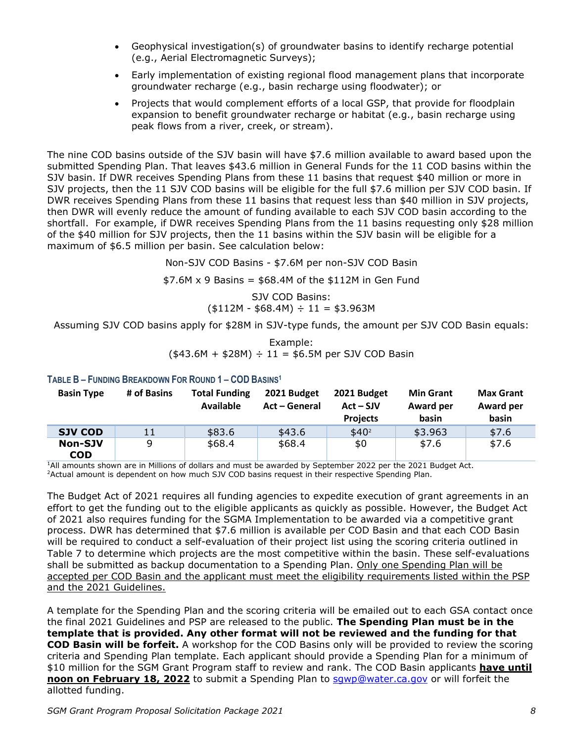- Geophysical investigation(s) of groundwater basins to identify recharge potential (e.g., Aerial Electromagnetic Surveys);
- Early implementation of existing regional flood management plans that incorporate groundwater recharge (e.g., basin recharge using floodwater); or
- Projects that would complement efforts of a local GSP, that provide for floodplain expansion to benefit groundwater recharge or habitat (e.g., basin recharge using peak flows from a river, creek, or stream).

The nine COD basins outside of the SJV basin will have \$7.6 million available to award based upon the submitted Spending Plan. That leaves \$43.6 million in General Funds for the 11 COD basins within the SJV basin. If DWR receives Spending Plans from these 11 basins that request \$40 million or more in SJV projects, then the 11 SJV COD basins will be eligible for the full \$7.6 million per SJV COD basin. If DWR receives Spending Plans from these 11 basins that request less than \$40 million in SJV projects, then DWR will evenly reduce the amount of funding available to each SJV COD basin according to the shortfall. For example, if DWR receives Spending Plans from the 11 basins requesting only \$28 million of the \$40 million for SJV projects, then the 11 basins within the SJV basin will be eligible for a maximum of \$6.5 million per basin. See calculation below:

Non-SJV COD Basins - \$7.6M per non-SJV COD Basin

 $$7.6M \times 9$  Basins =  $$68.4M$  of the  $$112M$  in Gen Fund

SJV COD Basins:  $($112M - $68.4M) ÷ 11 = $3.963M$ 

Assuming SJV COD basins apply for \$28M in SJV-type funds, the amount per SJV COD Basin equals:

Example:  $($43.6M + $28M) \div 11 = $6.5M$  per SJV COD Basin

#### <span id="page-8-0"></span>**TABLE B – FUNDING BREAKDOWN FOR ROUND 1 – COD BASINS1**

| <b>Basin Type</b>            | # of Basins | <b>Total Funding</b><br>Available | 2021 Budget<br>Act – General | 2021 Budget<br>$Act - SIV$<br><b>Projects</b> | <b>Min Grant</b><br>Award per<br>basin | <b>Max Grant</b><br>Award per<br>basin |
|------------------------------|-------------|-----------------------------------|------------------------------|-----------------------------------------------|----------------------------------------|----------------------------------------|
| <b>SJV COD</b>               | 11          | \$83.6                            | \$43.6                       | \$40 <sup>2</sup>                             | \$3.963                                | \$7.6                                  |
| <b>Non-SJV</b><br><b>COD</b> | 9           | \$68.4                            | \$68.4                       | \$0                                           | \$7.6                                  | \$7.6                                  |

1All amounts shown are in Millions of dollars and must be awarded by September 2022 per the 2021 Budget Act. <sup>2</sup>Actual amount is dependent on how much SJV COD basins request in their respective Spending Plan.

The Budget Act of 2021 requires all funding agencies to expedite execution of grant agreements in an effort to get the funding out to the eligible applicants as quickly as possible. However, the Budget Act of 2021 also requires funding for the SGMA Implementation to be awarded via a competitive grant process. DWR has determined that \$7.6 million is available per COD Basin and that each COD Basin will be required to conduct a self-evaluation of their project list using the scoring criteria outlined in Table 7 to determine which projects are the most competitive within the basin. These self-evaluations shall be submitted as backup documentation to a Spending Plan. Only one Spending Plan will be accepted per COD Basin and the applicant must meet the eligibility requirements listed within the PSP and the 2021 Guidelines.

A template for the Spending Plan and the scoring criteria will be emailed out to each GSA contact once the final 2021 Guidelines and PSP are released to the public. **The Spending Plan must be in the template that is provided. Any other format will not be reviewed and the funding for that COD Basin will be forfeit.** A workshop for the COD Basins only will be provided to review the scoring criteria and Spending Plan template. Each applicant should provide a Spending Plan for a minimum of \$10 million for the SGM Grant Program staff to review and rank. The COD Basin applicants **have until noon on February 18, 2022** to submit a Spending Plan to sawp@water.ca.gov or will forfeit the allotted funding.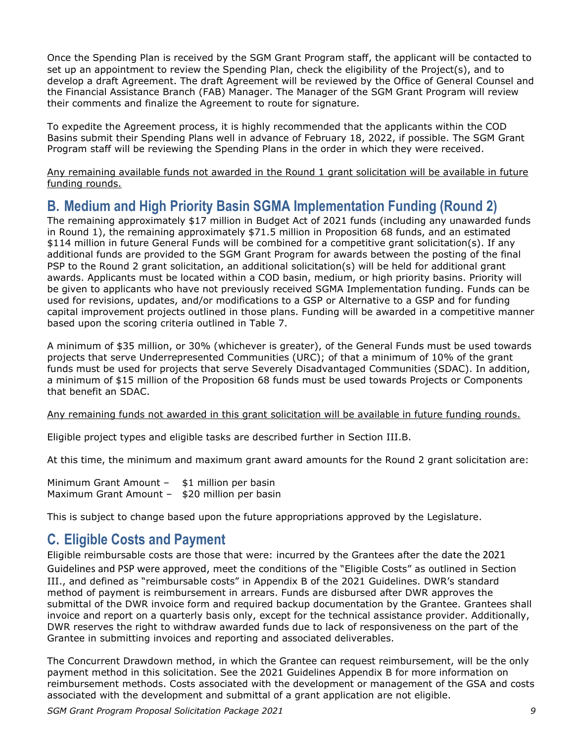Once the Spending Plan is received by the SGM Grant Program staff, the applicant will be contacted to set up an appointment to review the Spending Plan, check the eligibility of the Project(s), and to develop a draft Agreement. The draft Agreement will be reviewed by the Office of General Counsel and the Financial Assistance Branch (FAB) Manager. The Manager of the SGM Grant Program will review their comments and finalize the Agreement to route for signature.

To expedite the Agreement process, it is highly recommended that the applicants within the COD Basins submit their Spending Plans well in advance of February 18, 2022, if possible. The SGM Grant Program staff will be reviewing the Spending Plans in the order in which they were received.

Any remaining available funds not awarded in the Round 1 grant solicitation will be available in future funding rounds.

### <span id="page-9-0"></span>**B. Medium and High Priority Basin SGMA Implementation Funding (Round 2)**

The remaining approximately \$17 million in Budget Act of 2021 funds (including any unawarded funds in Round 1), the remaining approximately \$71.5 million in Proposition 68 funds, and an estimated \$114 million in future General Funds will be combined for a competitive grant solicitation(s). If any additional funds are provided to the SGM Grant Program for awards between the posting of the final PSP to the Round 2 grant solicitation, an additional solicitation(s) will be held for additional grant awards. Applicants must be located within a COD basin, medium, or high priority basins. Priority will be given to applicants who have not previously received SGMA Implementation funding. Funds can be used for revisions, updates, and/or modifications to a GSP or Alternative to a GSP and for funding capital improvement projects outlined in those plans. Funding will be awarded in a competitive manner based upon the scoring criteria outlined in Table 7.

A minimum of \$35 million, or 30% (whichever is greater), of the General Funds must be used towards projects that serve Underrepresented Communities (URC); of that a minimum of 10% of the grant funds must be used for projects that serve Severely Disadvantaged Communities (SDAC). In addition, a minimum of \$15 million of the Proposition 68 funds must be used towards Projects or Components that benefit an SDAC.

#### Any remaining funds not awarded in this grant solicitation will be available in future funding rounds.

Eligible project types and eligible tasks are described further in Section III.B.

At this time, the minimum and maximum grant award amounts for the Round 2 grant solicitation are:

Minimum Grant Amount – \$1 million per basin Maximum Grant Amount – \$20 million per basin

This is subject to change based upon the future appropriations approved by the Legislature.

### <span id="page-9-1"></span>**C. Eligible Costs and Payment**

Eligible reimbursable costs are those that were: incurred by the Grantees after the date the 2021 Guidelines and PSP were approved, meet the conditions of the "Eligible Costs" as outlined in Section III., and defined as "reimbursable costs" in Appendix B of the 2021 Guidelines. DWR's standard method of payment is reimbursement in arrears. Funds are disbursed after DWR approves the submittal of the DWR invoice form and required backup documentation by the Grantee. Grantees shall invoice and report on a quarterly basis only, except for the technical assistance provider. Additionally, DWR reserves the right to withdraw awarded funds due to lack of responsiveness on the part of the Grantee in submitting invoices and reporting and associated deliverables.

The Concurrent Drawdown method, in which the Grantee can request reimbursement, will be the only payment method in this solicitation. See the 2021 Guidelines Appendix B for more information on reimbursement methods. Costs associated with the development or management of the GSA and costs associated with the development and submittal of a grant application are not eligible.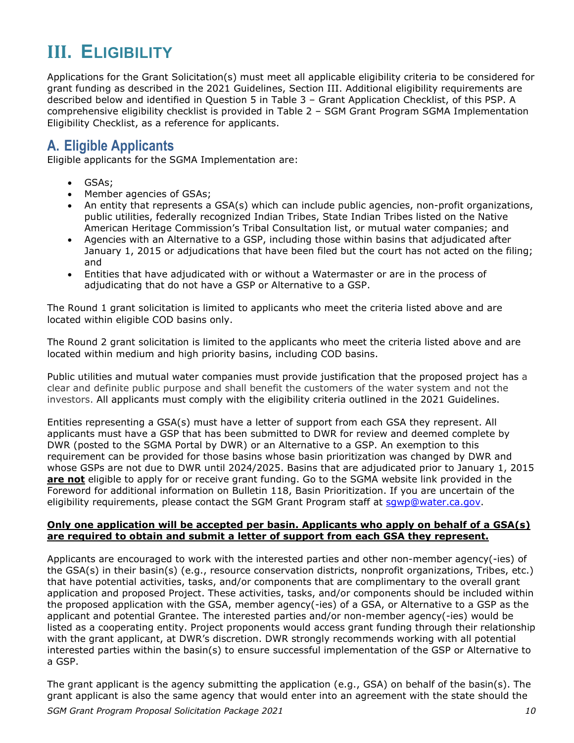# <span id="page-10-0"></span>**III. ELIGIBILITY**

Applications for the Grant Solicitation(s) must meet all applicable eligibility criteria to be considered for grant funding as described in the 2021 Guidelines, Section III. Additional eligibility requirements are described below and identified in Question 5 in Table 3 – Grant Application Checklist, of this PSP. A comprehensive eligibility checklist is provided in Table 2 – SGM Grant Program SGMA Implementation Eligibility Checklist, as a reference for applicants.

## <span id="page-10-1"></span>**A. Eligible Applicants**

Eligible applicants for the SGMA Implementation are:

- GSAs;
- Member agencies of GSAs;
- An entity that represents a GSA(s) which can include public agencies, non-profit organizations, public utilities, federally recognized Indian Tribes, State Indian Tribes listed on the Native American Heritage Commission's Tribal Consultation list, or mutual water companies; and
- Agencies with an Alternative to a GSP, including those within basins that adjudicated after January 1, 2015 or adjudications that have been filed but the court has not acted on the filing; and
- Entities that have adjudicated with or without a Watermaster or are in the process of adjudicating that do not have a GSP or Alternative to a GSP.

The Round 1 grant solicitation is limited to applicants who meet the criteria listed above and are located within eligible COD basins only.

The Round 2 grant solicitation is limited to the applicants who meet the criteria listed above and are located within medium and high priority basins, including COD basins.

Public utilities and mutual water companies must provide justification that the proposed project has a clear and definite public purpose and shall benefit the customers of the water system and not the investors. All applicants must comply with the eligibility criteria outlined in the 2021 Guidelines.

Entities representing a GSA(s) must have a letter of support from each GSA they represent. All applicants must have a GSP that has been submitted to DWR for review and deemed complete by DWR (posted to the SGMA Portal by DWR) or an Alternative to a GSP. An exemption to this requirement can be provided for those basins whose basin prioritization was changed by DWR and whose GSPs are not due to DWR until 2024/2025. Basins that are adjudicated prior to January 1, 2015 **are not** eligible to apply for or receive grant funding. Go to the SGMA website link provided in the Foreword for additional information on Bulletin 118, Basin Prioritization. If you are uncertain of the eligibility requirements, please contact the SGM Grant Program staff at [sgwp@water.ca.gov.](mailto:sgwp@water.ca.gov)

#### **Only one application will be accepted per basin. Applicants who apply on behalf of a GSA(s) are required to obtain and submit a letter of support from each GSA they represent.**

Applicants are encouraged to work with the interested parties and other non-member agency(-ies) of the GSA(s) in their basin(s) (e.g., resource conservation districts, nonprofit organizations, Tribes, etc.) that have potential activities, tasks, and/or components that are complimentary to the overall grant application and proposed Project. These activities, tasks, and/or components should be included within the proposed application with the GSA, member agency(-ies) of a GSA, or Alternative to a GSP as the applicant and potential Grantee. The interested parties and/or non-member agency(-ies) would be listed as a cooperating entity. Project proponents would access grant funding through their relationship with the grant applicant, at DWR's discretion. DWR strongly recommends working with all potential interested parties within the basin(s) to ensure successful implementation of the GSP or Alternative to a GSP.

The grant applicant is the agency submitting the application (e.g., GSA) on behalf of the basin(s). The grant applicant is also the same agency that would enter into an agreement with the state should the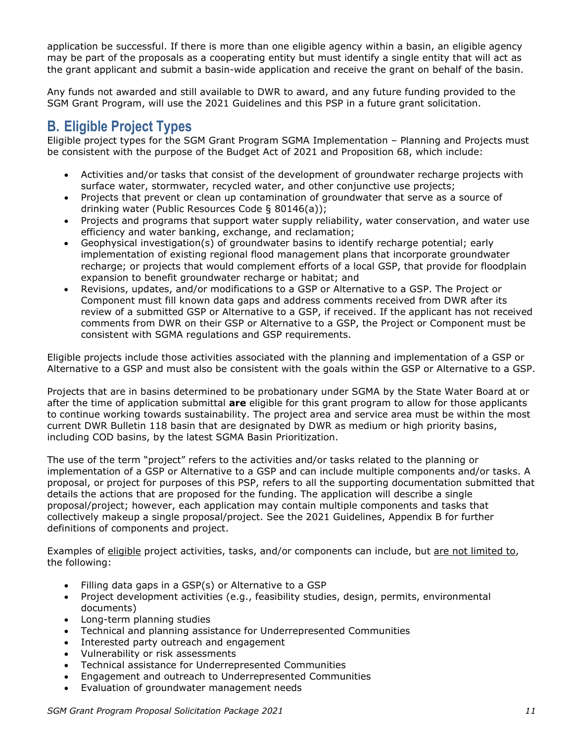application be successful. If there is more than one eligible agency within a basin, an eligible agency may be part of the proposals as a cooperating entity but must identify a single entity that will act as the grant applicant and submit a basin-wide application and receive the grant on behalf of the basin.

Any funds not awarded and still available to DWR to award, and any future funding provided to the SGM Grant Program, will use the 2021 Guidelines and this PSP in a future grant solicitation.

# <span id="page-11-0"></span>**B. Eligible Project Types**

Eligible project types for the SGM Grant Program SGMA Implementation – Planning and Projects must be consistent with the purpose of the Budget Act of 2021 and Proposition 68, which include:

- Activities and/or tasks that consist of the development of groundwater recharge projects with surface water, stormwater, recycled water, and other conjunctive use projects;
- Projects that prevent or clean up contamination of groundwater that serve as a source of drinking water (Public Resources Code § 80146(a));
- Projects and programs that support water supply reliability, water conservation, and water use efficiency and water banking, exchange, and reclamation;
- Geophysical investigation(s) of groundwater basins to identify recharge potential; early implementation of existing regional flood management plans that incorporate groundwater recharge; or projects that would complement efforts of a local GSP, that provide for floodplain expansion to benefit groundwater recharge or habitat; and
- Revisions, updates, and/or modifications to a GSP or Alternative to a GSP. The Project or Component must fill known data gaps and address comments received from DWR after its review of a submitted GSP or Alternative to a GSP, if received. If the applicant has not received comments from DWR on their GSP or Alternative to a GSP, the Project or Component must be consistent with SGMA regulations and GSP requirements.

Eligible projects include those activities associated with the planning and implementation of a GSP or Alternative to a GSP and must also be consistent with the goals within the GSP or Alternative to a GSP.

Projects that are in basins determined to be probationary under SGMA by the State Water Board at or after the time of application submittal **are** eligible for this grant program to allow for those applicants to continue working towards sustainability. The project area and service area must be within the most current DWR Bulletin 118 basin that are designated by DWR as medium or high priority basins, including COD basins, by the latest SGMA Basin Prioritization.

The use of the term "project" refers to the activities and/or tasks related to the planning or implementation of a GSP or Alternative to a GSP and can include multiple components and/or tasks. A proposal, or project for purposes of this PSP, refers to all the supporting documentation submitted that details the actions that are proposed for the funding. The application will describe a single proposal/project; however, each application may contain multiple components and tasks that collectively makeup a single proposal/project. See the 2021 Guidelines, Appendix B for further definitions of components and project.

Examples of eligible project activities, tasks, and/or components can include, but are not limited to, the following:

- Filling data gaps in a GSP(s) or Alternative to a GSP
- Project development activities (e.g., feasibility studies, design, permits, environmental documents)
- Long-term planning studies
- Technical and planning assistance for Underrepresented Communities
- Interested party outreach and engagement
- Vulnerability or risk assessments
- Technical assistance for Underrepresented Communities
- Engagement and outreach to Underrepresented Communities
- Evaluation of groundwater management needs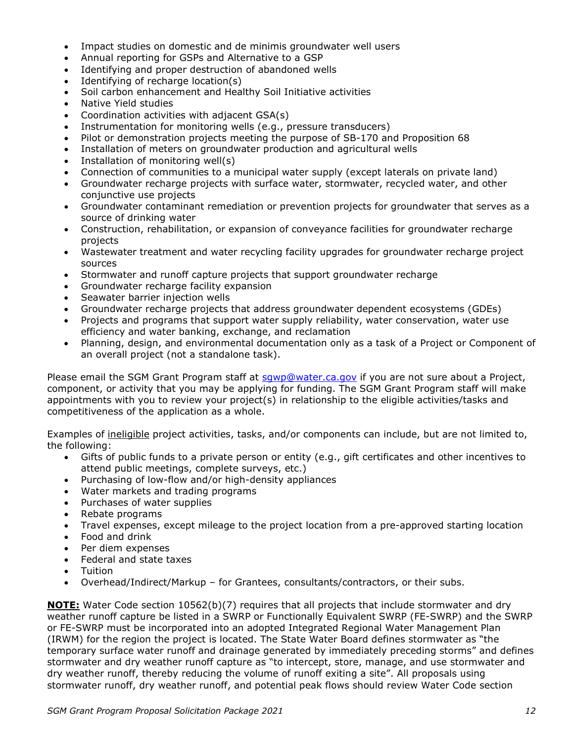- Impact studies on domestic and de minimis groundwater well users
- Annual reporting for GSPs and Alternative to a GSP
- Identifying and proper destruction of abandoned wells
- Identifying of recharge location(s)
- Soil carbon enhancement and Healthy Soil Initiative activities
- Native Yield studies
- Coordination activities with adjacent GSA(s)
- Instrumentation for monitoring wells (e.g., pressure transducers)
- Pilot or demonstration projects meeting the purpose of SB-170 and Proposition 68
- Installation of meters on groundwater production and agricultural wells
- Installation of monitoring well(s)
- Connection of communities to a municipal water supply (except laterals on private land)
- Groundwater recharge projects with surface water, stormwater, recycled water, and other conjunctive use projects
- Groundwater contaminant remediation or prevention projects for groundwater that serves as a source of drinking water
- Construction, rehabilitation, or expansion of conveyance facilities for groundwater recharge projects
- Wastewater treatment and water recycling facility upgrades for groundwater recharge project sources
- Stormwater and runoff capture projects that support groundwater recharge
- Groundwater recharge facility expansion
- Seawater barrier injection wells
- Groundwater recharge projects that address groundwater dependent ecosystems (GDEs)
- Projects and programs that support water supply reliability, water conservation, water use efficiency and water banking, exchange, and reclamation
- Planning, design, and environmental documentation only as a task of a Project or Component of an overall project (not a standalone task).

Please email the SGM Grant Program staff at [sgwp@water.ca.gov](mailto:sgwp@water.ca.gov) if you are not sure about a Project, component, or activity that you may be applying for funding. The SGM Grant Program staff will make appointments with you to review your project(s) in relationship to the eligible activities/tasks and competitiveness of the application as a whole.

Examples of ineligible project activities, tasks, and/or components can include, but are not limited to, the following:<br>Gifts of

- Gifts of public funds to a private person or entity (e.g., gift certificates and other incentives to attend public meetings, complete surveys, etc.)
- Purchasing of low-flow and/or high-density appliances
- Water markets and trading programs
- Purchases of water supplies
- Rebate programs
- Travel expenses, except mileage to the project location from a pre-approved starting location
- Food and drink
- Per diem expenses
- Federal and state taxes
- Tuition
- Overhead/Indirect/Markup for Grantees, consultants/contractors, or their subs.

**NOTE:** Water Code section 10562(b)(7) requires that all projects that include stormwater and dry weather runoff capture be listed in a SWRP or Functionally Equivalent SWRP (FE-SWRP) and the SWRP or FE-SWRP must be incorporated into an adopted Integrated Regional Water Management Plan (IRWM) for the region the project is located. The State Water Board defines stormwater as "the temporary surface water runoff and drainage generated by immediately preceding storms" and defines stormwater and dry weather runoff capture as "to intercept, store, manage, and use stormwater and dry weather runoff, thereby reducing the volume of runoff exiting a site". All proposals using stormwater runoff, dry weather runoff, and potential peak flows should review Water Code section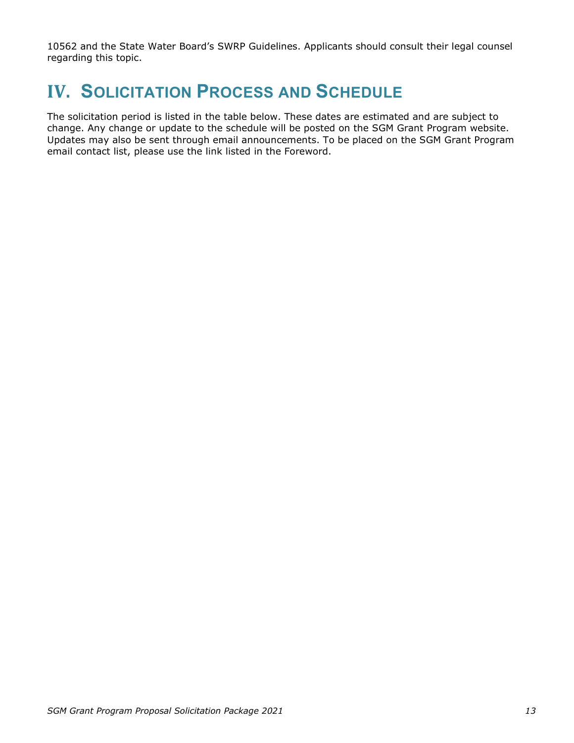10562 and the State Water Board's SWRP Guidelines. Applicants should consult their legal counsel regarding this topic.

# <span id="page-13-0"></span>**IV. SOLICITATION PROCESS AND SCHEDULE**

The solicitation period is listed in the table below. These dates are estimated and are subject to change. Any change or update to the schedule will be posted on the SGM Grant Program website. Updates may also be sent through email announcements. To be placed on the SGM Grant Program email contact list, please use the link listed in the Foreword.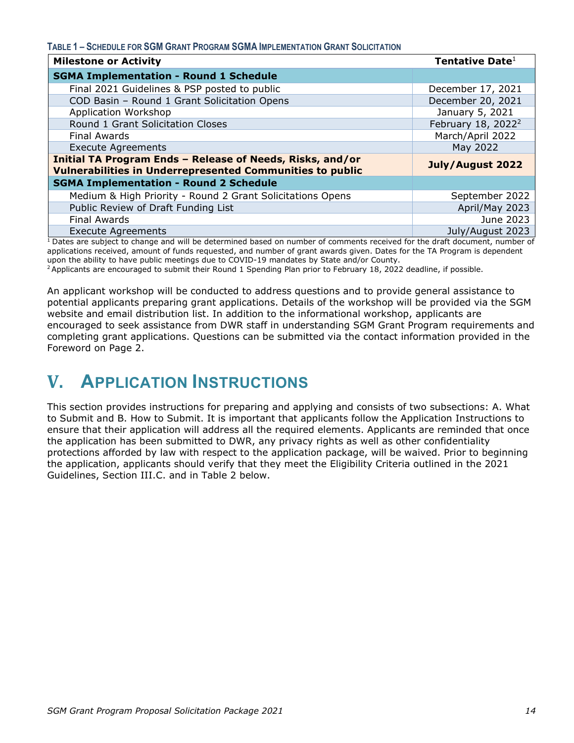<span id="page-14-1"></span>**TABLE 1 – SCHEDULE FOR SGM GRANT PROGRAM SGMA IMPLEMENTATION GRANT SOLICITATION**

| <b>Milestone or Activity</b>                                                                                                  | <b>Tentative Date</b> <sup>1</sup> |
|-------------------------------------------------------------------------------------------------------------------------------|------------------------------------|
| <b>SGMA Implementation - Round 1 Schedule</b>                                                                                 |                                    |
| Final 2021 Guidelines & PSP posted to public                                                                                  | December 17, 2021                  |
| COD Basin - Round 1 Grant Solicitation Opens                                                                                  | December 20, 2021                  |
| Application Workshop                                                                                                          | January 5, 2021                    |
| Round 1 Grant Solicitation Closes                                                                                             | February 18, 2022 <sup>2</sup>     |
| <b>Final Awards</b>                                                                                                           | March/April 2022                   |
| <b>Execute Agreements</b>                                                                                                     | May 2022                           |
| Initial TA Program Ends - Release of Needs, Risks, and/or<br><b>Vulnerabilities in Underrepresented Communities to public</b> | <b>July/August 2022</b>            |
| <b>SGMA Implementation - Round 2 Schedule</b>                                                                                 |                                    |
| Medium & High Priority - Round 2 Grant Solicitations Opens                                                                    | September 2022                     |
| Public Review of Draft Funding List                                                                                           | April/May 2023                     |
| <b>Final Awards</b>                                                                                                           | June 2023                          |
| <b>Execute Agreements</b>                                                                                                     | July/August 2023                   |

<sup>1</sup> Dates are subject to change and will be determined based on number of comments received for the draft document, number of applications received, amount of funds requested, and number of grant awards given. Dates for the TA Program is dependent upon the ability to have public meetings due to COVID-19 mandates by State and/or County.

<sup>2</sup> Applicants are encouraged to submit their Round 1 Spending Plan prior to February 18, 2022 deadline, if possible.

An applicant workshop will be conducted to address questions and to provide general assistance to potential applicants preparing grant applications. Details of the workshop will be provided via the SGM website and email distribution list. In addition to the informational workshop, applicants are encouraged to seek assistance from DWR staff in understanding SGM Grant Program requirements and completing grant applications. Questions can be submitted via the contact information provided in the Foreword on Page 2.

# <span id="page-14-0"></span>**V. APPLICATION INSTRUCTIONS**

This section provides instructions for preparing and applying and consists of two subsections: A. What to Submit and B. How to Submit. It is important that applicants follow the Application Instructions to ensure that their application will address all the required elements. Applicants are reminded that once the application has been submitted to DWR, any privacy rights as well as other confidentiality protections afforded by law with respect to the application package, will be waived. Prior to beginning the application, applicants should verify that they meet the Eligibility Criteria outlined in the 2021 Guidelines, Section III.C. and in Table 2 below.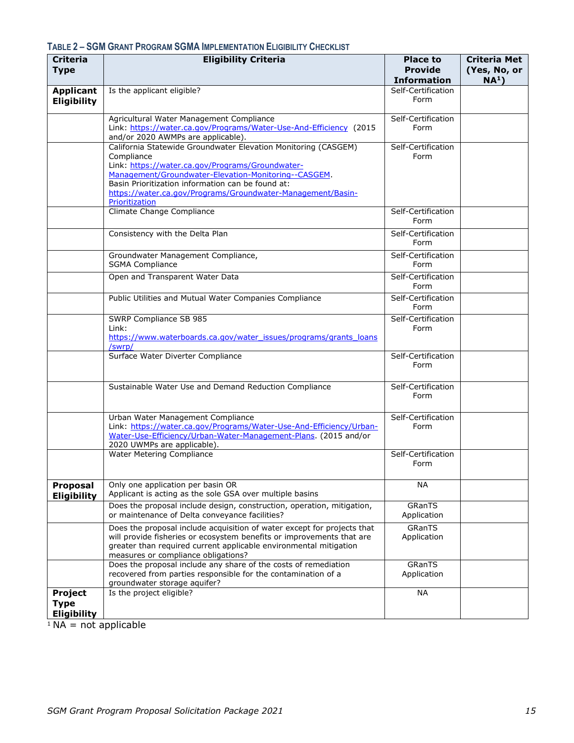<span id="page-15-0"></span>

|  |  |  | TABLE 2 - SGM GRANT PROGRAM SGMA IMPLEMENTATION ELIGIBILITY CHECKLIST |
|--|--|--|-----------------------------------------------------------------------|
|--|--|--|-----------------------------------------------------------------------|

| <b>Criteria</b><br><b>Type</b>               | <b>Eligibility Criteria</b>                                                                                                                                                                                                                                                                                                    | <b>Place to</b><br><b>Provide</b><br><b>Information</b> | <b>Criteria Met</b><br>(Yes, No, or<br>NA <sup>1</sup> |
|----------------------------------------------|--------------------------------------------------------------------------------------------------------------------------------------------------------------------------------------------------------------------------------------------------------------------------------------------------------------------------------|---------------------------------------------------------|--------------------------------------------------------|
| <b>Applicant</b><br><b>Eligibility</b>       | Is the applicant eligible?                                                                                                                                                                                                                                                                                                     | Self-Certification<br>Form                              |                                                        |
|                                              | Agricultural Water Management Compliance<br>Link: https://water.ca.gov/Programs/Water-Use-And-Efficiency (2015<br>and/or 2020 AWMPs are applicable).                                                                                                                                                                           | Self-Certification<br>Form                              |                                                        |
|                                              | California Statewide Groundwater Elevation Monitoring (CASGEM)<br>Compliance<br>Link: https://water.ca.gov/Programs/Groundwater-<br>Management/Groundwater-Elevation-Monitoring--CASGEM.<br>Basin Prioritization information can be found at:<br>https://water.ca.gov/Programs/Groundwater-Management/Basin-<br>Prioritization | Self-Certification<br>Form                              |                                                        |
|                                              | Climate Change Compliance                                                                                                                                                                                                                                                                                                      | Self-Certification<br>Form                              |                                                        |
|                                              | Consistency with the Delta Plan                                                                                                                                                                                                                                                                                                | Self-Certification<br>Form                              |                                                        |
|                                              | Groundwater Management Compliance,<br><b>SGMA Compliance</b>                                                                                                                                                                                                                                                                   | Self-Certification<br>Form                              |                                                        |
|                                              | Open and Transparent Water Data                                                                                                                                                                                                                                                                                                | Self-Certification<br>Form                              |                                                        |
|                                              | Public Utilities and Mutual Water Companies Compliance                                                                                                                                                                                                                                                                         | Self-Certification<br>Form                              |                                                        |
|                                              | SWRP Compliance SB 985<br>Link:<br>https://www.waterboards.ca.gov/water_issues/programs/grants_loans<br>/swrp/                                                                                                                                                                                                                 | Self-Certification<br>Form                              |                                                        |
|                                              | Surface Water Diverter Compliance                                                                                                                                                                                                                                                                                              | Self-Certification<br>Form                              |                                                        |
|                                              | Sustainable Water Use and Demand Reduction Compliance                                                                                                                                                                                                                                                                          | Self-Certification<br>Form                              |                                                        |
|                                              | Urban Water Management Compliance<br>Link: https://water.ca.gov/Programs/Water-Use-And-Efficiency/Urban-<br>Water-Use-Efficiency/Urban-Water-Management-Plans. (2015 and/or<br>2020 UWMPs are applicable).                                                                                                                     | Self-Certification<br>Form                              |                                                        |
|                                              | Water Metering Compliance                                                                                                                                                                                                                                                                                                      | Self-Certification<br>Form                              |                                                        |
| Proposal<br><b>Eligibility</b>               | Only one application per basin OR<br>Applicant is acting as the sole GSA over multiple basins                                                                                                                                                                                                                                  | <b>NA</b>                                               |                                                        |
|                                              | Does the proposal include design, construction, operation, mitigation,<br>or maintenance of Delta conveyance facilities?                                                                                                                                                                                                       | <b>GRanTS</b><br>Application                            |                                                        |
|                                              | Does the proposal include acquisition of water except for projects that<br>will provide fisheries or ecosystem benefits or improvements that are<br>greater than required current applicable environmental mitigation<br>measures or compliance obligations?                                                                   | GRanTS<br>Application                                   |                                                        |
|                                              | Does the proposal include any share of the costs of remediation<br>recovered from parties responsible for the contamination of a<br>groundwater storage aquifer?                                                                                                                                                               | GRanTS<br>Application                                   |                                                        |
| Project<br><b>Type</b><br><b>Eligibility</b> | Is the project eligible?                                                                                                                                                                                                                                                                                                       | <b>NA</b>                                               |                                                        |

 $1$  NA = not applicable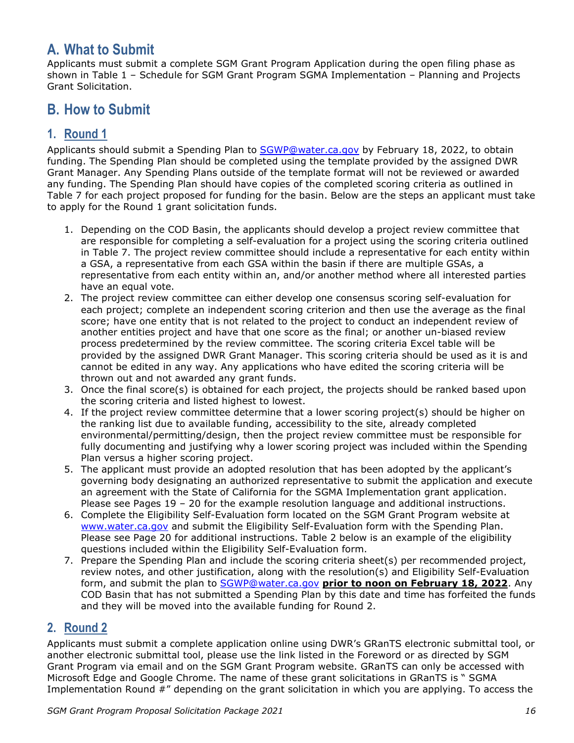### <span id="page-16-0"></span>**A. What to Submit**

Applicants must submit a complete SGM Grant Program Application during the open filing phase as shown in Table 1 – Schedule for SGM Grant Program SGMA Implementation – Planning and Projects Grant Solicitation.

### <span id="page-16-1"></span>**B. How to Submit**

### <span id="page-16-2"></span>**1. Round 1**

Applicants should submit a Spending Plan to **SGWP@water.ca.gov** by February 18, 2022, to obtain funding. The Spending Plan should be completed using the template provided by the assigned DWR Grant Manager. Any Spending Plans outside of the template format will not be reviewed or awarded any funding. The Spending Plan should have copies of the completed scoring criteria as outlined in Table 7 for each project proposed for funding for the basin. Below are the steps an applicant must take to apply for the Round 1 grant solicitation funds.

- 1. Depending on the COD Basin, the applicants should develop a project review committee that are responsible for completing a self-evaluation for a project using the scoring criteria outlined in Table 7. The project review committee should include a representative for each entity within a GSA, a representative from each GSA within the basin if there are multiple GSAs, a representative from each entity within an, and/or another method where all interested parties have an equal vote.
- 2. The project review committee can either develop one consensus scoring self-evaluation for each project; complete an independent scoring criterion and then use the average as the final score; have one entity that is not related to the project to conduct an independent review of another entities project and have that one score as the final; or another un-biased review process predetermined by the review committee. The scoring criteria Excel table will be provided by the assigned DWR Grant Manager. This scoring criteria should be used as it is and cannot be edited in any way. Any applications who have edited the scoring criteria will be thrown out and not awarded any grant funds.
- 3. Once the final score(s) is obtained for each project, the projects should be ranked based upon the scoring criteria and listed highest to lowest.
- 4. If the project review committee determine that a lower scoring project(s) should be higher on the ranking list due to available funding, accessibility to the site, already completed environmental/permitting/design, then the project review committee must be responsible for fully documenting and justifying why a lower scoring project was included within the Spending Plan versus a higher scoring project.
- 5. The applicant must provide an adopted resolution that has been adopted by the applicant's governing body designating an authorized representative to submit the application and execute an agreement with the State of California for the SGMA Implementation grant application. Please see Pages 19 – 20 for the example resolution language and additional instructions.
- 6. Complete the Eligibility Self-Evaluation form located on the SGM Grant Program website at [www.water.ca.gov](http://www.water.ca.gov/) and submit the Eligibility Self-Evaluation form with the Spending Plan. Please see Page 20 for additional instructions. Table 2 below is an example of the eligibility questions included within the Eligibility Self-Evaluation form.
- 7. Prepare the Spending Plan and include the scoring criteria sheet(s) per recommended project, review notes, and other justification, along with the resolution(s) and Eligibility Self-Evaluation form, and submit the plan to [SGWP@water.ca.gov](mailto:SGWP@water.ca.gov) **prior to noon on February 18, 2022**. Any COD Basin that has not submitted a Spending Plan by this date and time has forfeited the funds and they will be moved into the available funding for Round 2.

### <span id="page-16-3"></span>**2. Round 2**

Applicants must submit a complete application online using DWR's GRanTS electronic submittal tool, or another electronic submittal tool, please use the link listed in the Foreword or as directed by SGM Grant Program via email and on the SGM Grant Program website. GRanTS can only be accessed with Microsoft Edge and Google Chrome. The name of these grant solicitations in GRanTS is " SGMA Implementation Round #" depending on the grant solicitation in which you are applying. To access the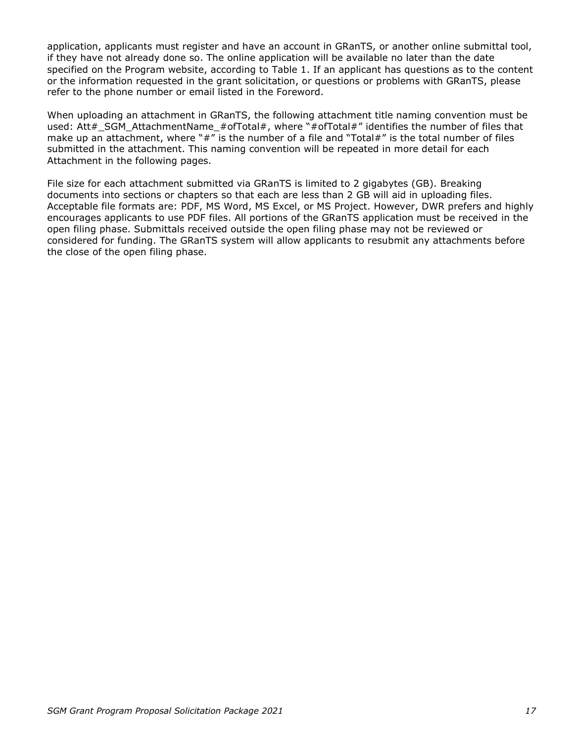application, applicants must register and have an account in GRanTS, or another online submittal tool, if they have not already done so. The online application will be available no later than the date specified on the Program website, according to Table 1. If an applicant has questions as to the content or the information requested in the grant solicitation, or questions or problems with GRanTS, please refer to the phone number or email listed in the Foreword.

When uploading an attachment in GRanTS, the following attachment title naming convention must be used: Att# SGM AttachmentName  $#$ ofTotal#, where "#ofTotal#" identifies the number of files that make up an attachment, where "#" is the number of a file and "Total#" is the total number of files submitted in the attachment. This naming convention will be repeated in more detail for each Attachment in the following pages.

File size for each attachment submitted via GRanTS is limited to 2 gigabytes (GB). Breaking documents into sections or chapters so that each are less than 2 GB will aid in uploading files. Acceptable file formats are: PDF, MS Word, MS Excel, or MS Project. However, DWR prefers and highly encourages applicants to use PDF files. All portions of the GRanTS application must be received in the open filing phase. Submittals received outside the open filing phase may not be reviewed or considered for funding. The GRanTS system will allow applicants to resubmit any attachments before the close of the open filing phase.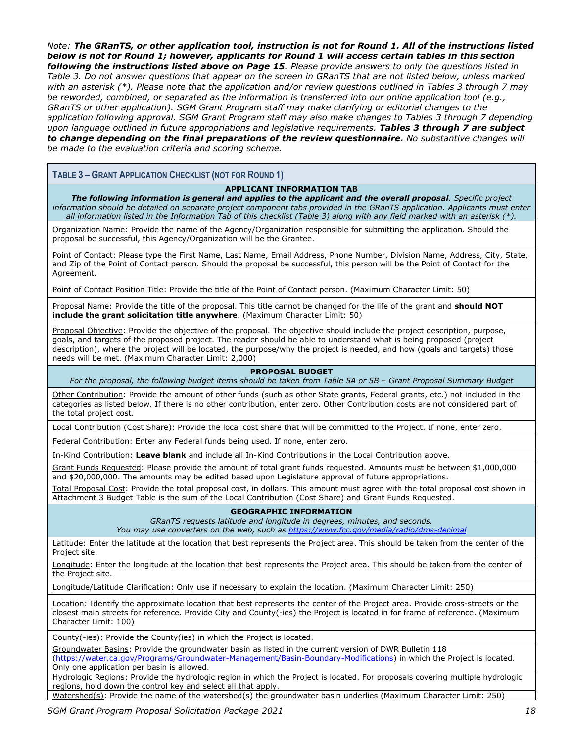*Note: The GRanTS, or other application tool, instruction is not for Round 1. All of the instructions listed below is not for Round 1; however, applicants for Round 1 will access certain tables in this section following the instructions listed above on Page 15. Please provide answers to only the questions listed in Table 3. Do not answer questions that appear on the screen in GRanTS that are not listed below, unless marked with an asterisk (\*). Please note that the application and/or review questions outlined in Tables 3 through 7 may be reworded, combined, or separated as the information is transferred into our online application tool (e.g., GRanTS or other application). SGM Grant Program staff may make clarifying or editorial changes to the application following approval. SGM Grant Program staff may also make changes to Tables 3 through 7 depending upon language outlined in future appropriations and legislative requirements. Tables 3 through 7 are subject to change depending on the final preparations of the review questionnaire. No substantive changes will be made to the evaluation criteria and scoring scheme.*

#### <span id="page-18-0"></span>**TABLE 3 – GRANT APPLICATION CHECKLIST (NOT FOR ROUND 1)**

#### **APPLICANT INFORMATION TAB**

*The following information is general and applies to the applicant and the overall proposal. Specific project information should be detailed on separate project component tabs provided in the GRanTS application. Applicants must enter all information listed in the Information Tab of this checklist (Table 3) along with any field marked with an asterisk (\*).*

Organization Name: Provide the name of the Agency/Organization responsible for submitting the application. Should the proposal be successful, this Agency/Organization will be the Grantee.

Point of Contact: Please type the First Name, Last Name, Email Address, Phone Number, Division Name, Address, City, State, and Zip of the Point of Contact person. Should the proposal be successful, this person will be the Point of Contact for the Agreement.

Point of Contact Position Title: Provide the title of the Point of Contact person. (Maximum Character Limit: 50)

Proposal Name: Provide the title of the proposal. This title cannot be changed for the life of the grant and **should NOT include the grant solicitation title anywhere**. (Maximum Character Limit: 50)

Proposal Objective: Provide the objective of the proposal. The objective should include the project description, purpose, goals, and targets of the proposed project. The reader should be able to understand what is being proposed (project description), where the project will be located, the purpose/why the project is needed, and how (goals and targets) those needs will be met. (Maximum Character Limit: 2,000)

#### **PROPOSAL BUDGET**

*For the proposal, the following budget items should be taken from Table 5A or 5B – Grant Proposal Summary Budget*

Other Contribution: Provide the amount of other funds (such as other State grants, Federal grants, etc.) not included in the categories as listed below. If there is no other contribution, enter zero. Other Contribution costs are not considered part of the total project cost.

Local Contribution (Cost Share): Provide the local cost share that will be committed to the Project. If none, enter zero.

Federal Contribution: Enter any Federal funds being used. If none, enter zero.

In-Kind Contribution: **Leave blank** and include all In-Kind Contributions in the Local Contribution above.

Grant Funds Requested: Please provide the amount of total grant funds requested. Amounts must be between \$1,000,000 and \$20,000,000. The amounts may be edited based upon Legislature approval of future appropriations.

Total Proposal Cost: Provide the total proposal cost, in dollars. This amount must agree with the total proposal cost shown in Attachment 3 Budget Table is the sum of the Local Contribution (Cost Share) and Grant Funds Requested.

**GEOGRAPHIC INFORMATION**

*GRanTS requests latitude and longitude in degrees, minutes, and seconds. You may use converters on the web, such as<https://www.fcc.gov/media/radio/dms-decimal>*

Latitude: Enter the latitude at the location that best represents the Project area. This should be taken from the center of the Project site.

Longitude: Enter the longitude at the location that best represents the Project area. This should be taken from the center of the Project site.

Longitude/Latitude Clarification: Only use if necessary to explain the location. (Maximum Character Limit: 250)

Location: Identify the approximate location that best represents the center of the Project area. Provide cross-streets or the closest main streets for reference. Provide City and County(-ies) the Project is located in for frame of reference. (Maximum Character Limit: 100)

County(-ies): Provide the County(ies) in which the Project is located.

Groundwater Basins: Provide the groundwater basin as listed in the current version of DWR Bulletin 118 [\(https://water.ca.gov/Programs/Groundwater-Management/Basin-Boundary-Modifications\)](https://water.ca.gov/Programs/Groundwater-Management/Basin-Boundary-Modifications) in which the Project is located. Only one application per basin is allowed.

Hydrologic Regions: Provide the hydrologic region in which the Project is located. For proposals covering multiple hydrologic regions, hold down the control key and select all that apply.

Watershed(s): Provide the name of the watershed(s) the groundwater basin underlies (Maximum Character Limit: 250)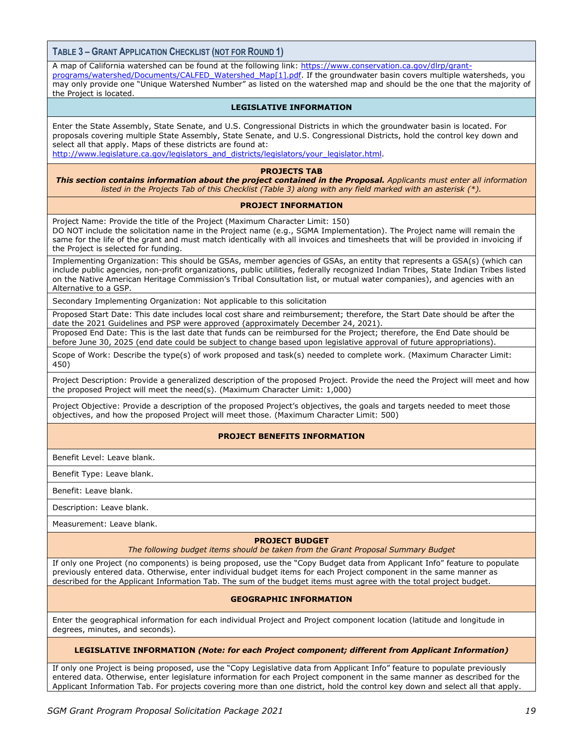#### **TABLE 3 – GRANT APPLICATION CHECKLIST (NOT FOR ROUND 1)**

A map of California watershed can be found at the following link: [https://www.conservation.ca.gov/dlrp/grant](https://www.conservation.ca.gov/dlrp/grant-programs/watershed/Documents/CALFED_Watershed_Map%5b1%5d.pdf)[programs/watershed/Documents/CALFED\\_Watershed\\_Map\[1\].pdf.](https://www.conservation.ca.gov/dlrp/grant-programs/watershed/Documents/CALFED_Watershed_Map%5b1%5d.pdf) If the groundwater basin covers multiple watersheds, you may only provide one "Unique Watershed Number" as listed on the watershed map and should be the one that the majority of the Project is located.

#### **LEGISLATIVE INFORMATION**

Enter the State Assembly, State Senate, and U.S. Congressional Districts in which the groundwater basin is located. For proposals covering multiple State Assembly, State Senate, and U.S. Congressional Districts, hold the control key down and select all that apply. Maps of these districts are found at:

[http://www.legislature.ca.gov/legislators\\_and\\_districts/legislators/your\\_legislator.html.](http://www.legislature.ca.gov/legislators_and_districts/legislators/your_legislator.html)

**PROJECTS TAB**

*This section contains information about the project contained in the Proposal. Applicants must enter all information listed in the Projects Tab of this Checklist (Table 3) along with any field marked with an asterisk (\*).*

#### **PROJECT INFORMATION**

Project Name: Provide the title of the Project (Maximum Character Limit: 150) DO NOT include the solicitation name in the Project name (e.g., SGMA Implementation). The Project name will remain the same for the life of the grant and must match identically with all invoices and timesheets that will be provided in invoicing if the Project is selected for funding.

Implementing Organization: This should be GSAs, member agencies of GSAs, an entity that represents a GSA(s) (which can include public agencies, non-profit organizations, public utilities, federally recognized Indian Tribes, State Indian Tribes listed on the Native American Heritage Commission's Tribal Consultation list, or mutual water companies), and agencies with an Alternative to a GSP.

Secondary Implementing Organization: Not applicable to this solicitation

Proposed Start Date: This date includes local cost share and reimbursement; therefore, the Start Date should be after the date the 2021 Guidelines and PSP were approved (approximately December 24, 2021).

Proposed End Date: This is the last date that funds can be reimbursed for the Project; therefore, the End Date should be before June 30, 2025 (end date could be subject to change based upon legislative approval of future appropriations).

Scope of Work: Describe the type(s) of work proposed and task(s) needed to complete work. (Maximum Character Limit: 450)

Project Description: Provide a generalized description of the proposed Project. Provide the need the Project will meet and how the proposed Project will meet the need(s). (Maximum Character Limit: 1,000)

Project Objective: Provide a description of the proposed Project's objectives, the goals and targets needed to meet those objectives, and how the proposed Project will meet those. (Maximum Character Limit: 500)

#### **PROJECT BENEFITS INFORMATION**

Benefit Level: Leave blank.

Benefit Type: Leave blank.

Benefit: Leave blank.

Description: Leave blank.

Measurement: Leave blank.

#### **PROJECT BUDGET**

*The following budget items should be taken from the Grant Proposal Summary Budget*

If only one Project (no components) is being proposed, use the "Copy Budget data from Applicant Info" feature to populate previously entered data. Otherwise, enter individual budget items for each Project component in the same manner as described for the Applicant Information Tab. The sum of the budget items must agree with the total project budget.

#### **GEOGRAPHIC INFORMATION**

Enter the geographical information for each individual Project and Project component location (latitude and longitude in degrees, minutes, and seconds).

#### **LEGISLATIVE INFORMATION** *(Note: for each Project component; different from Applicant Information)*

If only one Project is being proposed, use the "Copy Legislative data from Applicant Info" feature to populate previously entered data. Otherwise, enter legislature information for each Project component in the same manner as described for the Applicant Information Tab. For projects covering more than one district, hold the control key down and select all that apply.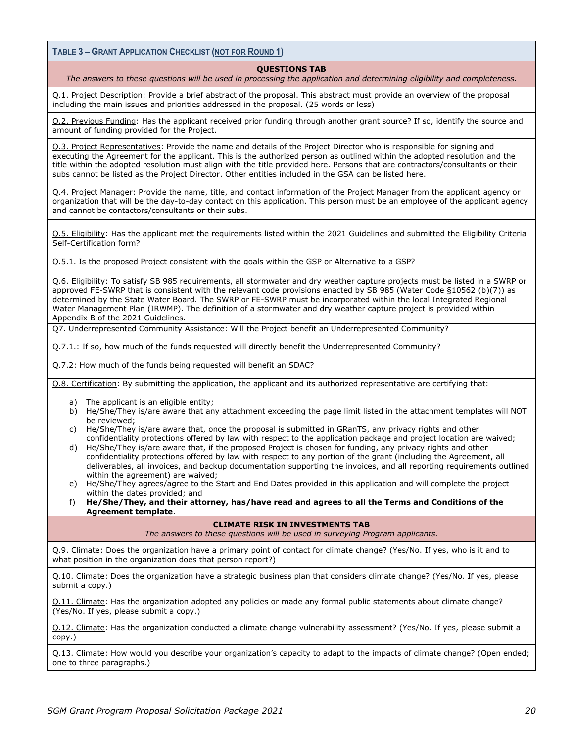#### **TABLE 3 – GRANT APPLICATION CHECKLIST (NOT FOR ROUND 1)**

#### **QUESTIONS TAB**

*The answers to these questions will be used in processing the application and determining eligibility and completeness.*

Q.1. Project Description: Provide a brief abstract of the proposal. This abstract must provide an overview of the proposal including the main issues and priorities addressed in the proposal. (25 words or less)

Q.2. Previous Funding: Has the applicant received prior funding through another grant source? If so, identify the source and amount of funding provided for the Project.

Q.3. Project Representatives: Provide the name and details of the Project Director who is responsible for signing and executing the Agreement for the applicant. This is the authorized person as outlined within the adopted resolution and the title within the adopted resolution must align with the title provided here. Persons that are contractors/consultants or their subs cannot be listed as the Project Director. Other entities included in the GSA can be listed here.

Q.4. Project Manager: Provide the name, title, and contact information of the Project Manager from the applicant agency or organization that will be the day-to-day contact on this application. This person must be an employee of the applicant agency and cannot be contactors/consultants or their subs.

Q.5. Eligibility: Has the applicant met the requirements listed within the 2021 Guidelines and submitted the Eligibility Criteria Self-Certification form?

Q.5.1. Is the proposed Project consistent with the goals within the GSP or Alternative to a GSP?

Q.6. Eligibility: To satisfy SB 985 requirements, all stormwater and dry weather capture projects must be listed in a SWRP or approved FE-SWRP that is consistent with the relevant code provisions enacted by SB 985 (Water Code §10562 (b)(7)) as determined by the State Water Board. The SWRP or FE-SWRP must be incorporated within the local Integrated Regional Water Management Plan (IRWMP). The definition of a stormwater and dry weather capture project is provided within Appendix B of the 2021 Guidelines.

Q7. Underrepresented Community Assistance: Will the Project benefit an Underrepresented Community?

Q.7.1.: If so, how much of the funds requested will directly benefit the Underrepresented Community?

Q.7.2: How much of the funds being requested will benefit an SDAC?

Q.8. Certification: By submitting the application, the applicant and its authorized representative are certifying that:

- a) The applicant is an eligible entity;
- b) He/She/They is/are aware that any attachment exceeding the page limit listed in the attachment templates will NOT be reviewed;
- c) He/She/They is/are aware that, once the proposal is submitted in GRanTS, any privacy rights and other confidentiality protections offered by law with respect to the application package and project location are waived;
- d) He/She/They is/are aware that, if the proposed Project is chosen for funding, any privacy rights and other confidentiality protections offered by law with respect to any portion of the grant (including the Agreement, all deliverables, all invoices, and backup documentation supporting the invoices, and all reporting requirements outlined within the agreement) are waived;
- e) He/She/They agrees/agree to the Start and End Dates provided in this application and will complete the project within the dates provided; and
- f) **He/She/They, and their attorney, has/have read and agrees to all the Terms and Conditions of the Agreement template**.

#### **CLIMATE RISK IN INVESTMENTS TAB**

*The answers to these questions will be used in surveying Program applicants.*

Q.9. Climate: Does the organization have a primary point of contact for climate change? (Yes/No. If yes, who is it and to what position in the organization does that person report?)

Q.10. Climate: Does the organization have a strategic business plan that considers climate change? (Yes/No. If yes, please submit a copy.)

Q.11. Climate: Has the organization adopted any policies or made any formal public statements about climate change? (Yes/No. If yes, please submit a copy.)

Q.12. Climate: Has the organization conducted a climate change vulnerability assessment? (Yes/No. If yes, please submit a copy.)

Q.13. Climate: How would you describe your organization's capacity to adapt to the impacts of climate change? (Open ended; one to three paragraphs.)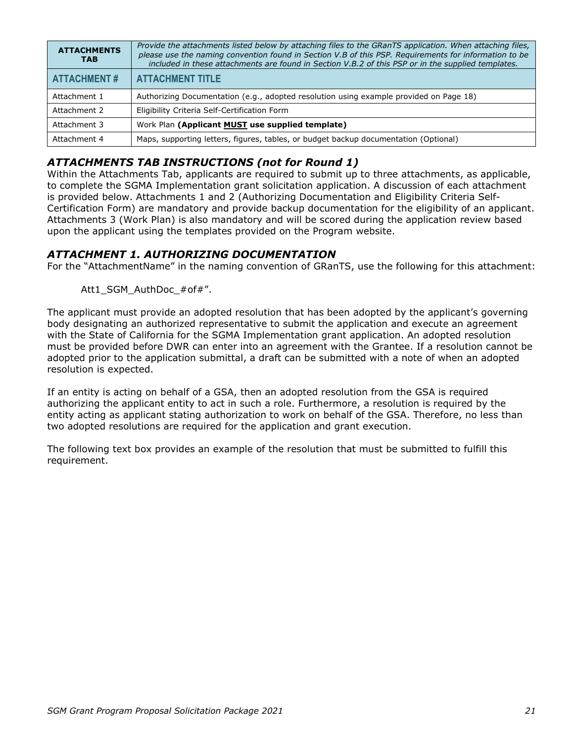| <b>ATTACHMENTS</b><br><b>TAB</b> | Provide the attachments listed below by attaching files to the GRanTS application. When attaching files,<br>please use the naming convention found in Section V.B of this PSP. Requirements for information to be<br>included in these attachments are found in Section V.B.2 of this PSP or in the supplied templates. |
|----------------------------------|-------------------------------------------------------------------------------------------------------------------------------------------------------------------------------------------------------------------------------------------------------------------------------------------------------------------------|
| <b>ATTACHMENT#</b>               | <b>ATTACHMENT TITLE</b>                                                                                                                                                                                                                                                                                                 |
| Attachment 1                     | Authorizing Documentation (e.g., adopted resolution using example provided on Page 18)                                                                                                                                                                                                                                  |
| Attachment 2                     | Eligibility Criteria Self-Certification Form                                                                                                                                                                                                                                                                            |
| Attachment 3                     | Work Plan (Applicant MUST use supplied template)                                                                                                                                                                                                                                                                        |
| Attachment 4                     | Maps, supporting letters, figures, tables, or budget backup documentation (Optional)                                                                                                                                                                                                                                    |

### *ATTACHMENTS TAB INSTRUCTIONS (not for Round 1)*

Within the Attachments Tab, applicants are required to submit up to three attachments, as applicable, to complete the SGMA Implementation grant solicitation application. A discussion of each attachment is provided below. Attachments 1 and 2 (Authorizing Documentation and Eligibility Criteria Self-Certification Form) are mandatory and provide backup documentation for the eligibility of an applicant. Attachments 3 (Work Plan) is also mandatory and will be scored during the application review based upon the applicant using the templates provided on the Program website.

### *ATTACHMENT 1. AUTHORIZING DOCUMENTATION*

For the "AttachmentName" in the naming convention of GRanTS, use the following for this attachment:

Att1\_SGM\_AuthDoc\_#of#".

The applicant must provide an adopted resolution that has been adopted by the applicant's governing body designating an authorized representative to submit the application and execute an agreement with the State of California for the SGMA Implementation grant application. An adopted resolution must be provided before DWR can enter into an agreement with the Grantee. If a resolution cannot be adopted prior to the application submittal, a draft can be submitted with a note of when an adopted resolution is expected.

If an entity is acting on behalf of a GSA, then an adopted resolution from the GSA is required authorizing the applicant entity to act in such a role. Furthermore, a resolution is required by the entity acting as applicant stating authorization to work on behalf of the GSA. Therefore, no less than two adopted resolutions are required for the application and grant execution.

The following text box provides an example of the resolution that must be submitted to fulfill this requirement.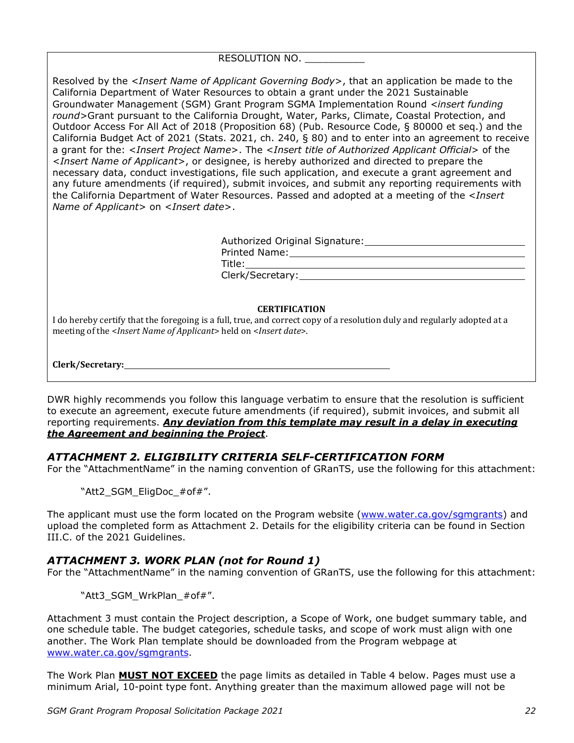#### RESOLUTION NO.

Resolved by the <*Insert Name of Applicant Governing Body*>, that an application be made to the California Department of Water Resources to obtain a grant under the 2021 Sustainable Groundwater Management (SGM) Grant Program SGMA Implementation Round *<insert funding round>*Grant pursuant to the California Drought, Water, Parks, Climate, Coastal Protection, and Outdoor Access For All Act of 2018 (Proposition 68) (Pub. Resource Code, § 80000 et seq.) and the California Budget Act of 2021 (Stats. 2021, ch. 240, § 80) and to enter into an agreement to receive a grant for the: <*Insert Project Name*>. The <*Insert title of Authorized Applicant Official*> of the <*Insert Name of Applicant*>, or designee, is hereby authorized and directed to prepare the necessary data, conduct investigations, file such application, and execute a grant agreement and any future amendments (if required), submit invoices, and submit any reporting requirements with the California Department of Water Resources. Passed and adopted at a meeting of the <*Insert Name of Applicant*> on <*Insert date*>.

| Authorized Original Signature: |  |
|--------------------------------|--|
| Printed Name:                  |  |
| Title:                         |  |

Clerk/Secretary:

#### **CERTIFICATION**

I do hereby certify that the foregoing is a full, true, and correct copy of a resolution duly and regularly adopted at a meeting of the <*Insert Name of Applicant*> held on <*Insert date*>.

**Clerk/Secretary:**

DWR highly recommends you follow this language verbatim to ensure that the resolution is sufficient to execute an agreement, execute future amendments (if required), submit invoices, and submit all reporting requirements. *Any deviation from this template may result in a delay in executing the Agreement and beginning the Project*.

#### *ATTACHMENT 2. ELIGIBILITY CRITERIA SELF-CERTIFICATION FORM*

For the "AttachmentName" in the naming convention of GRanTS, use the following for this attachment:

"Att2\_SGM\_EligDoc\_#of#".

The applicant must use the form located on the Program website [\(www.water.ca.gov/sgmgrants\)](http://www.water.ca.gov/sgmgrants) and upload the completed form as Attachment 2. Details for the eligibility criteria can be found in Section III.C. of the 2021 Guidelines.

#### *ATTACHMENT 3. WORK PLAN (not for Round 1)*

For the "AttachmentName" in the naming convention of GRanTS, use the following for this attachment:

"Att3 SGM WrkPlan #of#".

Attachment 3 must contain the Project description, a Scope of Work, one budget summary table, and one schedule table. The budget categories, schedule tasks, and scope of work must align with one another. The Work Plan template should be downloaded from the Program webpage at [www.water.ca.gov/sgmgrants.](http://www.water.ca.gov/sgmgrants)

The Work Plan **MUST NOT EXCEED** the page limits as detailed in Table 4 below. Pages must use a minimum Arial, 10-point type font. Anything greater than the maximum allowed page will not be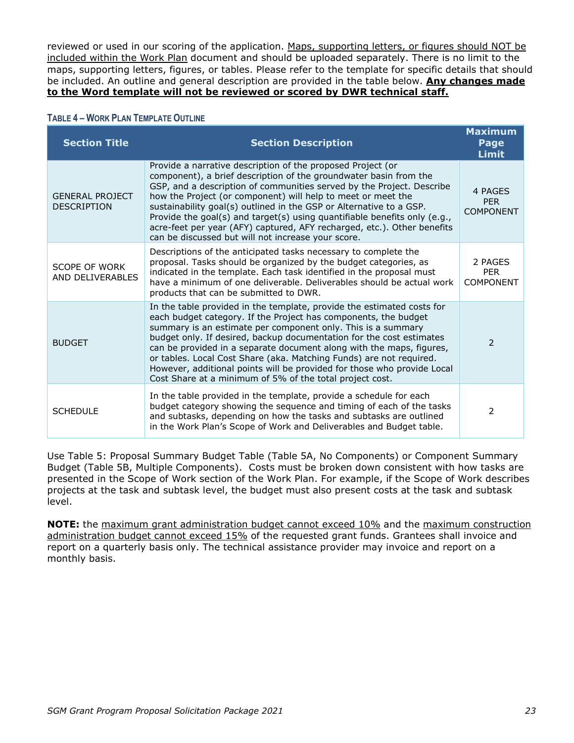reviewed or used in our scoring of the application. Maps, supporting letters, or figures should NOT be included within the Work Plan document and should be uploaded separately. There is no limit to the maps, supporting letters, figures, or tables. Please refer to the template for specific details that should be included. An outline and general description are provided in the table below. **Any changes made to the Word template will not be reviewed or scored by DWR technical staff.**

#### <span id="page-23-0"></span>**TABLE 4 – WORK PLAN TEMPLATE OUTLINE**

| <b>Section Title</b>                         | <b>Section Description</b>                                                                                                                                                                                                                                                                                                                                                                                                                                                                                                                                              | <b>Maximum</b><br>Page<br>Limit           |
|----------------------------------------------|-------------------------------------------------------------------------------------------------------------------------------------------------------------------------------------------------------------------------------------------------------------------------------------------------------------------------------------------------------------------------------------------------------------------------------------------------------------------------------------------------------------------------------------------------------------------------|-------------------------------------------|
| <b>GENERAL PROJECT</b><br><b>DESCRIPTION</b> | Provide a narrative description of the proposed Project (or<br>component), a brief description of the groundwater basin from the<br>GSP, and a description of communities served by the Project. Describe<br>how the Project (or component) will help to meet or meet the<br>sustainability goal(s) outlined in the GSP or Alternative to a GSP.<br>Provide the goal(s) and target(s) using quantifiable benefits only (e.g.,<br>acre-feet per year (AFY) captured, AFY recharged, etc.). Other benefits<br>can be discussed but will not increase your score.          | 4 PAGES<br><b>PER</b><br><b>COMPONENT</b> |
| <b>SCOPE OF WORK</b><br>AND DELIVERABLES     | Descriptions of the anticipated tasks necessary to complete the<br>proposal. Tasks should be organized by the budget categories, as<br>indicated in the template. Each task identified in the proposal must<br>have a minimum of one deliverable. Deliverables should be actual work<br>products that can be submitted to DWR.                                                                                                                                                                                                                                          | 2 PAGES<br><b>PER</b><br><b>COMPONENT</b> |
| <b>BUDGET</b>                                | In the table provided in the template, provide the estimated costs for<br>each budget category. If the Project has components, the budget<br>summary is an estimate per component only. This is a summary<br>budget only. If desired, backup documentation for the cost estimates<br>can be provided in a separate document along with the maps, figures,<br>or tables. Local Cost Share (aka. Matching Funds) are not required.<br>However, additional points will be provided for those who provide Local<br>Cost Share at a minimum of 5% of the total project cost. | $\mathcal{P}$                             |
| <b>SCHEDULE</b>                              | In the table provided in the template, provide a schedule for each<br>budget category showing the sequence and timing of each of the tasks<br>and subtasks, depending on how the tasks and subtasks are outlined<br>in the Work Plan's Scope of Work and Deliverables and Budget table.                                                                                                                                                                                                                                                                                 | 2                                         |

Use Table 5: Proposal Summary Budget Table (Table 5A, No Components) or Component Summary Budget (Table 5B, Multiple Components). Costs must be broken down consistent with how tasks are presented in the Scope of Work section of the Work Plan. For example, if the Scope of Work describes projects at the task and subtask level, the budget must also present costs at the task and subtask level.

**NOTE:** the maximum grant administration budget cannot exceed 10% and the maximum construction administration budget cannot exceed 15% of the requested grant funds. Grantees shall invoice and report on a quarterly basis only. The technical assistance provider may invoice and report on a monthly basis.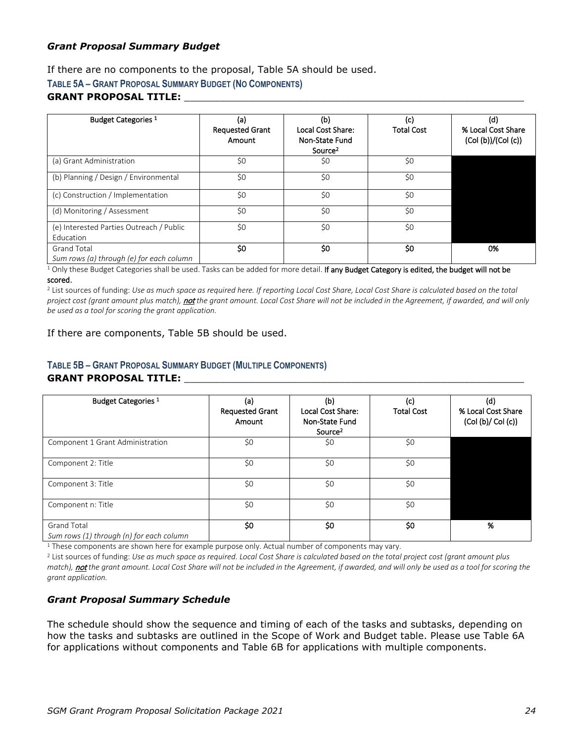#### *Grant Proposal Summary Budget*

<span id="page-24-0"></span>If there are no components to the proposal, Table 5A should be used. **TABLE 5A – GRANT PROPOSAL SUMMARY BUDGET (NO COMPONENTS)** GRANT PROPOSAL TITLE:

| Budget Categories <sup>1</sup>                                 | (a)<br><b>Requested Grant</b><br>Amount | (b)<br>Local Cost Share:<br>Non-State Fund<br>Source <sup>2</sup> | (c)<br><b>Total Cost</b> | (d)<br>% Local Cost Share<br>(Col (b))/(Col (c)) |
|----------------------------------------------------------------|-----------------------------------------|-------------------------------------------------------------------|--------------------------|--------------------------------------------------|
| (a) Grant Administration                                       | \$0                                     | \$0                                                               | \$0                      |                                                  |
| (b) Planning / Design / Environmental                          | \$0                                     | \$0                                                               | \$0                      |                                                  |
| (c) Construction / Implementation                              | \$0                                     | \$0                                                               | \$0                      |                                                  |
| (d) Monitoring / Assessment                                    | \$0                                     | \$0                                                               | \$0                      |                                                  |
| (e) Interested Parties Outreach / Public<br>Education          | \$0                                     | \$0                                                               | \$0                      |                                                  |
| <b>Grand Total</b><br>Sum rows (a) through (e) for each column | \$0                                     | \$0                                                               | \$0                      | 0%                                               |

 $1$  Only these Budget Categories shall be used. Tasks can be added for more detail. If any Budget Category is edited, the budget will not be scored.

<sup>2</sup> List sources of funding: *Use as much space as required here. If reporting Local Cost Share, Local Cost Share is calculated based on the total*  project cost (grant amount plus match), not the grant amount. Local Cost Share will not be included in the Agreement, if awarded, and will only *be used as a tool for scoring the grant application.*

If there are components, Table 5B should be used.

#### <span id="page-24-1"></span>**TABLE 5B – GRANT PROPOSAL SUMMARY BUDGET (MULTIPLE COMPONENTS) GRANT PROPOSAL TITLE:**

| Budget Categories <sup>1</sup>                                 | (a)<br><b>Requested Grant</b><br>Amount | (b)<br>Local Cost Share:<br>Non-State Fund<br>Source <sup>2</sup> | (c)<br><b>Total Cost</b> | (d)<br>% Local Cost Share<br>(Col(b)/Col(c)) |
|----------------------------------------------------------------|-----------------------------------------|-------------------------------------------------------------------|--------------------------|----------------------------------------------|
| Component 1 Grant Administration                               | \$0                                     | \$0                                                               | \$0                      |                                              |
| Component 2: Title                                             | \$0                                     | \$0                                                               | \$0                      |                                              |
| Component 3: Title                                             | \$0                                     | \$0                                                               | \$0                      |                                              |
| Component n: Title                                             | \$0                                     | \$0                                                               | \$0                      |                                              |
| <b>Grand Total</b><br>Sum rows (1) through (n) for each column | \$0                                     | \$0                                                               | \$0                      | %                                            |

<sup>1</sup> These components are shown here for example purpose only. Actual number of components may vary.<br><sup>2</sup> List sources of funding: *Use as much space as required. Local Cost Share is calculated based on the total project cos match),* not *the grant amount. Local Cost Share will not be included in the Agreement, if awarded, and will only be used as a tool for scoring the grant application.*

#### *Grant Proposal Summary Schedule*

The schedule should show the sequence and timing of each of the tasks and subtasks, depending on how the tasks and subtasks are outlined in the Scope of Work and Budget table. Please use Table 6A for applications without components and Table 6B for applications with multiple components.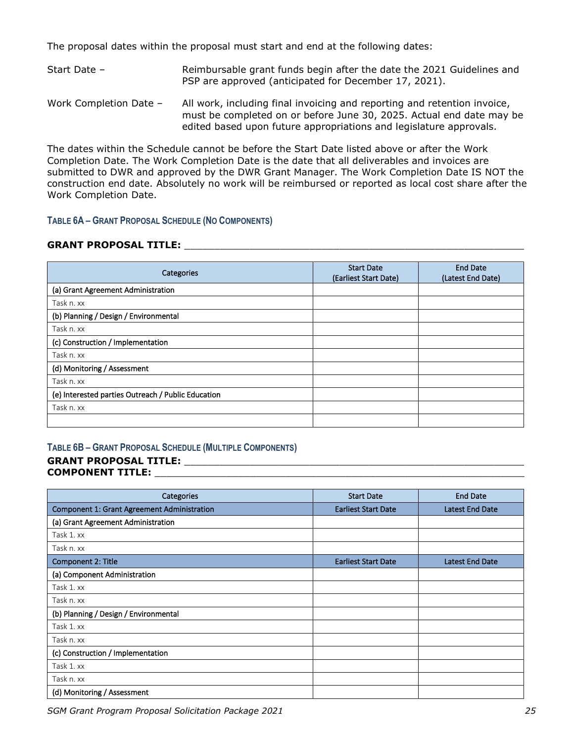The proposal dates within the proposal must start and end at the following dates:

- Start Date **Reimbursable grant funds begin after the date the 2021 Guidelines and** PSP are approved (anticipated for December 17, 2021).
- Work Completion Date All work, including final invoicing and reporting and retention invoice, must be completed on or before June 30, 2025. Actual end date may be edited based upon future appropriations and legislature approvals.

The dates within the Schedule cannot be before the Start Date listed above or after the Work Completion Date. The Work Completion Date is the date that all deliverables and invoices are submitted to DWR and approved by the DWR Grant Manager. The Work Completion Date IS NOT the construction end date. Absolutely no work will be reimbursed or reported as local cost share after the Work Completion Date.

<span id="page-25-0"></span>**TABLE 6A – GRANT PROPOSAL SCHEDULE (NO COMPONENTS)**

#### **GRANT PROPOSAL TITLE:** \_\_\_\_\_\_\_\_\_\_\_\_\_\_\_\_\_\_\_\_\_\_\_\_\_\_\_\_\_\_\_\_\_\_\_\_\_\_\_\_\_\_\_\_\_\_\_\_\_\_\_\_\_\_\_\_\_

| Categories                                         | <b>Start Date</b><br>(Earliest Start Date) | <b>End Date</b><br>(Latest End Date) |
|----------------------------------------------------|--------------------------------------------|--------------------------------------|
| (a) Grant Agreement Administration                 |                                            |                                      |
| Task n. xx                                         |                                            |                                      |
| (b) Planning / Design / Environmental              |                                            |                                      |
| Task n. xx                                         |                                            |                                      |
| (c) Construction / Implementation                  |                                            |                                      |
| Task n. xx                                         |                                            |                                      |
| (d) Monitoring / Assessment                        |                                            |                                      |
| Task n. xx                                         |                                            |                                      |
| (e) Interested parties Outreach / Public Education |                                            |                                      |
| Task n. xx                                         |                                            |                                      |
|                                                    |                                            |                                      |

#### <span id="page-25-1"></span>**TABLE 6B – GRANT PROPOSAL SCHEDULE (MULTIPLE COMPONENTS)**

#### **GRANT PROPOSAL TITLE:** \_\_\_\_\_\_\_\_\_\_\_\_\_\_\_\_\_\_\_\_\_\_\_\_\_\_\_\_\_\_\_\_\_\_\_\_\_\_\_\_\_\_\_\_\_\_\_\_\_\_\_\_\_\_\_\_\_ **COMPONENT TITLE:** \_\_\_\_\_\_\_\_\_\_\_\_\_\_\_\_\_\_\_\_\_\_\_\_\_\_\_\_\_\_\_\_\_\_\_\_\_\_\_\_\_\_\_\_\_\_\_\_\_\_\_\_\_\_\_\_\_\_\_\_\_\_

| Categories                                         | <b>Start Date</b>          | <b>End Date</b>        |
|----------------------------------------------------|----------------------------|------------------------|
| <b>Component 1: Grant Agreement Administration</b> | <b>Earliest Start Date</b> | <b>Latest End Date</b> |
| (a) Grant Agreement Administration                 |                            |                        |
| Task 1. xx                                         |                            |                        |
| Task n. xx                                         |                            |                        |
| Component 2: Title                                 | <b>Earliest Start Date</b> | Latest End Date        |
| (a) Component Administration                       |                            |                        |
| Task 1. xx                                         |                            |                        |
| Task n. xx                                         |                            |                        |
| (b) Planning / Design / Environmental              |                            |                        |
| Task 1. xx                                         |                            |                        |
| Task n. xx                                         |                            |                        |
| (c) Construction / Implementation                  |                            |                        |
| Task 1. xx                                         |                            |                        |
| Task n. xx                                         |                            |                        |
| (d) Monitoring / Assessment                        |                            |                        |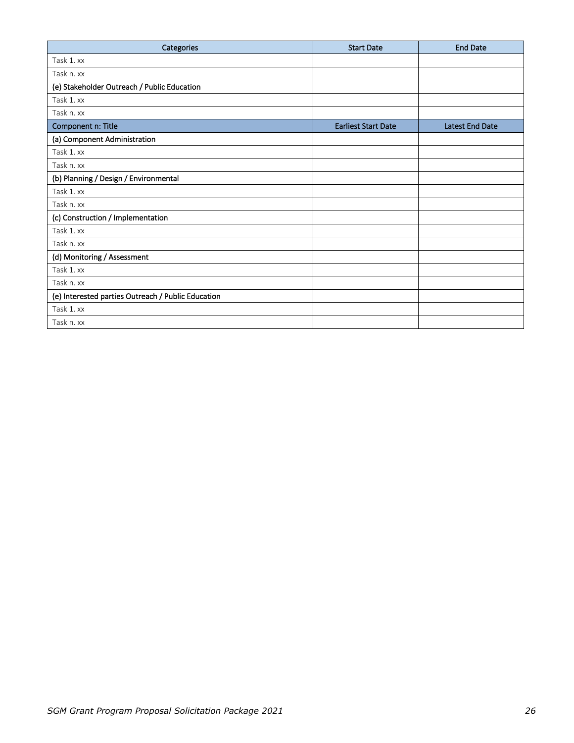| Categories                                         | <b>Start Date</b>          | <b>End Date</b>        |
|----------------------------------------------------|----------------------------|------------------------|
| Task 1. xx                                         |                            |                        |
| Task n. xx                                         |                            |                        |
| (e) Stakeholder Outreach / Public Education        |                            |                        |
| Task 1. xx                                         |                            |                        |
| Task n. xx                                         |                            |                        |
| Component n: Title                                 | <b>Earliest Start Date</b> | <b>Latest End Date</b> |
| (a) Component Administration                       |                            |                        |
| Task 1. xx                                         |                            |                        |
| Task n. xx                                         |                            |                        |
| (b) Planning / Design / Environmental              |                            |                        |
| Task 1. xx                                         |                            |                        |
| Task n. xx                                         |                            |                        |
| (c) Construction / Implementation                  |                            |                        |
| Task 1. xx                                         |                            |                        |
| Task n. xx                                         |                            |                        |
| (d) Monitoring / Assessment                        |                            |                        |
| Task 1. xx                                         |                            |                        |
| Task n. xx                                         |                            |                        |
| (e) Interested parties Outreach / Public Education |                            |                        |
| Task 1. xx                                         |                            |                        |
| Task n. xx                                         |                            |                        |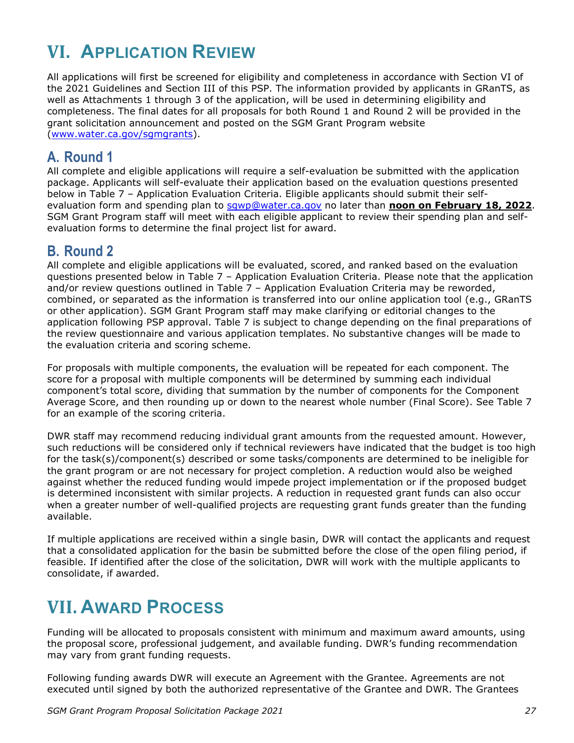# <span id="page-27-0"></span>**VI. APPLICATION REVIEW**

All applications will first be screened for eligibility and completeness in accordance with Section VI of the 2021 Guidelines and Section III of this PSP. The information provided by applicants in GRanTS, as well as Attachments 1 through 3 of the application, will be used in determining eligibility and completeness. The final dates for all proposals for both Round 1 and Round 2 will be provided in the grant solicitation announcement and posted on the SGM Grant Program website [\(www.water.ca.gov/sgmgrants\)](http://www.water.ca.gov/sgmgrants).

### <span id="page-27-1"></span>**A. Round 1**

All complete and eligible applications will require a self-evaluation be submitted with the application package. Applicants will self-evaluate their application based on the evaluation questions presented below in Table 7 – Application Evaluation Criteria. Eligible applicants should submit their selfevaluation form and spending plan to [sgwp@water.ca.gov](mailto:sgwp@water.ca.gov) no later than **noon on February 18, 2022**. SGM Grant Program staff will meet with each eligible applicant to review their spending plan and selfevaluation forms to determine the final project list for award.

### <span id="page-27-2"></span>**B. Round 2**

All complete and eligible applications will be evaluated, scored, and ranked based on the evaluation questions presented below in Table 7 – Application Evaluation Criteria. Please note that the application and/or review questions outlined in Table  $7$  – Application Evaluation Criteria may be reworded, combined, or separated as the information is transferred into our online application tool (e.g., GRanTS or other application). SGM Grant Program staff may make clarifying or editorial changes to the application following PSP approval. Table 7 is subject to change depending on the final preparations of the review questionnaire and various application templates. No substantive changes will be made to the evaluation criteria and scoring scheme.

For proposals with multiple components, the evaluation will be repeated for each component. The score for a proposal with multiple components will be determined by summing each individual component's total score, dividing that summation by the number of components for the Component Average Score, and then rounding up or down to the nearest whole number (Final Score). See Table 7 for an example of the scoring criteria.

DWR staff may recommend reducing individual grant amounts from the requested amount. However, such reductions will be considered only if technical reviewers have indicated that the budget is too high for the task(s)/component(s) described or some tasks/components are determined to be ineligible for the grant program or are not necessary for project completion. A reduction would also be weighed against whether the reduced funding would impede project implementation or if the proposed budget is determined inconsistent with similar projects. A reduction in requested grant funds can also occur when a greater number of well-qualified projects are requesting grant funds greater than the funding available.

If multiple applications are received within a single basin, DWR will contact the applicants and request that a consolidated application for the basin be submitted before the close of the open filing period, if feasible. If identified after the close of the solicitation, DWR will work with the multiple applicants to consolidate, if awarded.

# <span id="page-27-3"></span>**VII. AWARD PROCESS**

Funding will be allocated to proposals consistent with minimum and maximum award amounts, using the proposal score, professional judgement, and available funding. DWR's funding recommendation may vary from grant funding requests.

Following funding awards DWR will execute an Agreement with the Grantee. Agreements are not executed until signed by both the authorized representative of the Grantee and DWR. The Grantees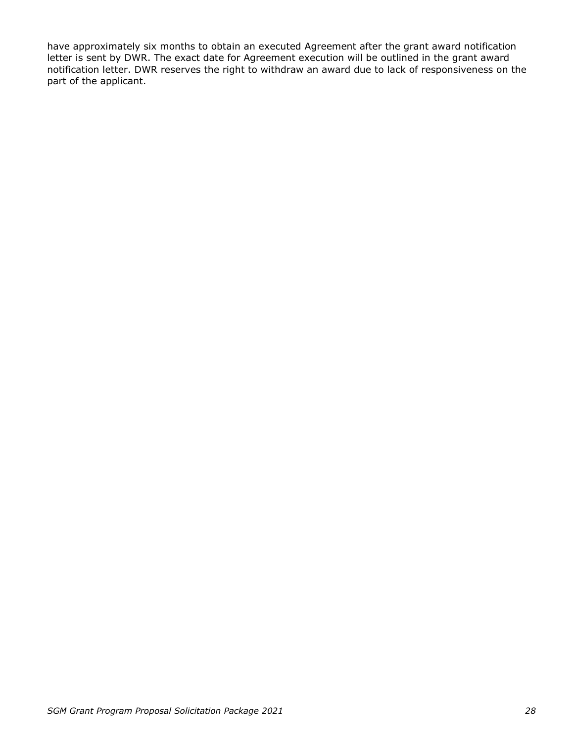have approximately six months to obtain an executed Agreement after the grant award notification letter is sent by DWR. The exact date for Agreement execution will be outlined in the grant award notification letter. DWR reserves the right to withdraw an award due to lack of responsiveness on the part of the applicant.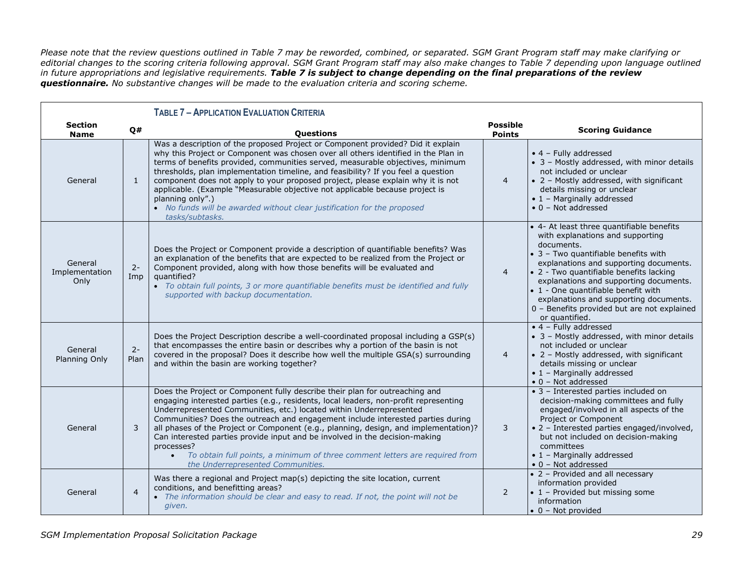*Please note that the review questions outlined in Table 7 may be reworded, combined, or separated. SGM Grant Program staff may make clarifying or editorial changes to the scoring criteria following approval. SGM Grant Program staff may also make changes to Table 7 depending upon language outlined in future appropriations and legislative requirements. Table 7 is subject to change depending on the final preparations of the review questionnaire. No substantive changes will be made to the evaluation criteria and scoring scheme.*

<span id="page-29-0"></span>

| <b>TABLE 7 - APPLICATION EVALUATION CRITERIA</b> |                |                                                                                                                                                                                                                                                                                                                                                                                                                                                                                                                                                                                                                                        |                                  |                                                                                                                                                                                                                                                                                                                                                                                                                              |
|--------------------------------------------------|----------------|----------------------------------------------------------------------------------------------------------------------------------------------------------------------------------------------------------------------------------------------------------------------------------------------------------------------------------------------------------------------------------------------------------------------------------------------------------------------------------------------------------------------------------------------------------------------------------------------------------------------------------------|----------------------------------|------------------------------------------------------------------------------------------------------------------------------------------------------------------------------------------------------------------------------------------------------------------------------------------------------------------------------------------------------------------------------------------------------------------------------|
| <b>Section</b><br><b>Name</b>                    | Q#             | Questions                                                                                                                                                                                                                                                                                                                                                                                                                                                                                                                                                                                                                              | <b>Possible</b><br><b>Points</b> | <b>Scoring Guidance</b>                                                                                                                                                                                                                                                                                                                                                                                                      |
| General                                          | $\mathbf{1}$   | Was a description of the proposed Project or Component provided? Did it explain<br>why this Project or Component was chosen over all others identified in the Plan in<br>terms of benefits provided, communities served, measurable objectives, minimum<br>thresholds, plan implementation timeline, and feasibility? If you feel a question<br>component does not apply to your proposed project, please explain why it is not<br>applicable. (Example "Measurable objective not applicable because project is<br>planning only".)<br>• No funds will be awarded without clear justification for the proposed<br>tasks/subtasks.      | $\overline{4}$                   | $\bullet$ 4 - Fully addressed<br>• 3 - Mostly addressed, with minor details<br>not included or unclear<br>• 2 - Mostly addressed, with significant<br>details missing or unclear<br>$\bullet$ 1 - Marginally addressed<br>$\bullet$ 0 - Not addressed                                                                                                                                                                        |
| General<br>Implementation<br>Only                | $2 -$<br>Imp   | Does the Project or Component provide a description of quantifiable benefits? Was<br>an explanation of the benefits that are expected to be realized from the Project or<br>Component provided, along with how those benefits will be evaluated and<br>quantified?<br>• To obtain full points, 3 or more quantifiable benefits must be identified and fully<br>supported with backup documentation.                                                                                                                                                                                                                                    | $\overline{4}$                   | • 4- At least three quantifiable benefits<br>with explanations and supporting<br>documents.<br>$\bullet$ 3 - Two quantifiable benefits with<br>explanations and supporting documents.<br>• 2 - Two quantifiable benefits lacking<br>explanations and supporting documents.<br>• 1 - One quantifiable benefit with<br>explanations and supporting documents.<br>0 - Benefits provided but are not explained<br>or quantified. |
| General<br>Planning Only                         | $2 -$<br>Plan  | Does the Project Description describe a well-coordinated proposal including a GSP(s)<br>that encompasses the entire basin or describes why a portion of the basin is not<br>covered in the proposal? Does it describe how well the multiple GSA(s) surrounding<br>and within the basin are working together?                                                                                                                                                                                                                                                                                                                           | $\overline{4}$                   | $\bullet$ 4 - Fully addressed<br>• 3 - Mostly addressed, with minor details<br>not included or unclear<br>• 2 - Mostly addressed, with significant<br>details missing or unclear<br>$\bullet$ 1 - Marginally addressed<br>$\bullet$ 0 - Not addressed                                                                                                                                                                        |
| General                                          | 3              | Does the Project or Component fully describe their plan for outreaching and<br>engaging interested parties (e.g., residents, local leaders, non-profit representing<br>Underrepresented Communities, etc.) located within Underrepresented<br>Communities? Does the outreach and engagement include interested parties during<br>all phases of the Project or Component (e.g., planning, design, and implementation)?<br>Can interested parties provide input and be involved in the decision-making<br>processes?<br>To obtain full points, a minimum of three comment letters are required from<br>the Underrepresented Communities. | 3                                | • 3 - Interested parties included on<br>decision-making committees and fully<br>engaged/involved in all aspects of the<br>Project or Component<br>• 2 - Interested parties engaged/involved,<br>but not included on decision-making<br>committees<br>$\bullet$ 1 - Marginally addressed<br>$\bullet$ 0 - Not addressed                                                                                                       |
| General                                          | $\overline{4}$ | Was there a regional and Project map(s) depicting the site location, current<br>conditions, and benefitting areas?<br>• The information should be clear and easy to read. If not, the point will not be<br>given.                                                                                                                                                                                                                                                                                                                                                                                                                      | 2                                | $\bullet$ 2 - Provided and all necessary<br>information provided<br>$\bullet$ 1 - Provided but missing some<br>information<br>$\bullet$ 0 - Not provided                                                                                                                                                                                                                                                                     |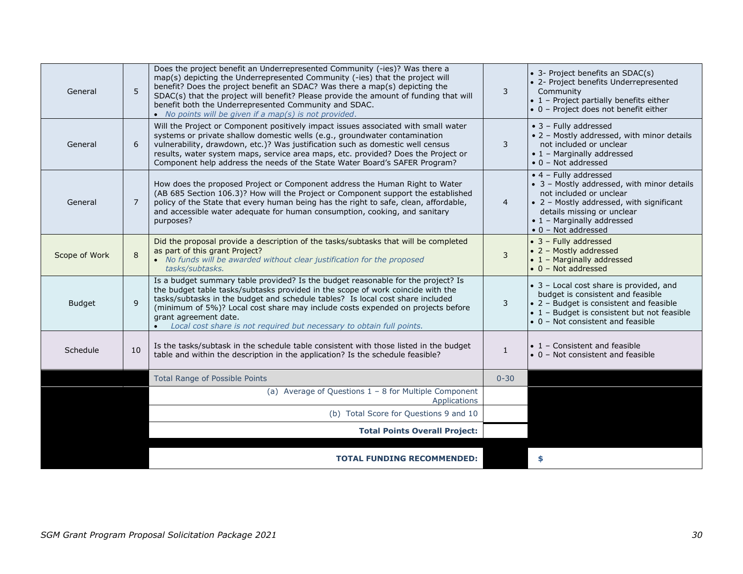| General       | 5              | Does the project benefit an Underrepresented Community (-ies)? Was there a<br>map(s) depicting the Underrepresented Community (-ies) that the project will<br>benefit? Does the project benefit an SDAC? Was there a map(s) depicting the<br>SDAC(s) that the project will benefit? Please provide the amount of funding that will<br>benefit both the Underrepresented Community and SDAC.<br>• No points will be given if a map(s) is not provided. | $\overline{3}$ | • 3- Project benefits an SDAC(s)<br>• 2- Project benefits Underrepresented<br>Community<br>$\bullet$ 1 - Project partially benefits either<br>• 0 - Project does not benefit either                                                                   |
|---------------|----------------|-------------------------------------------------------------------------------------------------------------------------------------------------------------------------------------------------------------------------------------------------------------------------------------------------------------------------------------------------------------------------------------------------------------------------------------------------------|----------------|-------------------------------------------------------------------------------------------------------------------------------------------------------------------------------------------------------------------------------------------------------|
| General       | 6              | Will the Project or Component positively impact issues associated with small water<br>systems or private shallow domestic wells (e.g., groundwater contamination<br>vulnerability, drawdown, etc.)? Was justification such as domestic well census<br>results, water system maps, service area maps, etc. provided? Does the Project or<br>Component help address the needs of the State Water Board's SAFER Program?                                 | 3              | $\bullet$ 3 - Fully addressed<br>• 2 - Mostly addressed, with minor details<br>not included or unclear<br>$\bullet$ 1 - Marginally addressed<br>$\bullet$ 0 - Not addressed                                                                           |
| General       | $\overline{7}$ | How does the proposed Project or Component address the Human Right to Water<br>(AB 685 Section 106.3)? How will the Project or Component support the established<br>policy of the State that every human being has the right to safe, clean, affordable,<br>and accessible water adequate for human consumption, cooking, and sanitary<br>purposes?                                                                                                   | $\overline{4}$ | $\bullet$ 4 - Fully addressed<br>• 3 - Mostly addressed, with minor details<br>not included or unclear<br>• 2 - Mostly addressed, with significant<br>details missing or unclear<br>$\bullet$ 1 - Marginally addressed<br>$\bullet$ 0 - Not addressed |
| Scope of Work | 8              | Did the proposal provide a description of the tasks/subtasks that will be completed<br>as part of this grant Project?<br>• No funds will be awarded without clear justification for the proposed<br>tasks/subtasks.                                                                                                                                                                                                                                   | 3              | $\bullet$ 3 - Fully addressed<br>$\bullet$ 2 - Mostly addressed<br>$\bullet$ 1 - Marginally addressed<br>$\bullet$ 0 - Not addressed                                                                                                                  |
| <b>Budget</b> | 9              | Is a budget summary table provided? Is the budget reasonable for the project? Is<br>the budget table tasks/subtasks provided in the scope of work coincide with the<br>tasks/subtasks in the budget and schedule tables? Is local cost share included<br>(minimum of 5%)? Local cost share may include costs expended on projects before<br>grant agreement date.<br>Local cost share is not required but necessary to obtain full points.            | 3              | • 3 - Local cost share is provided, and<br>budget is consistent and feasible<br>$\bullet$ 2 - Budget is consistent and feasible<br>$\bullet$ 1 - Budget is consistent but not feasible<br>$\bullet$ 0 - Not consistent and feasible                   |
| Schedule      | 10             | Is the tasks/subtask in the schedule table consistent with those listed in the budget<br>table and within the description in the application? Is the schedule feasible?                                                                                                                                                                                                                                                                               | $\mathbf{1}$   | $\bullet$ 1 - Consistent and feasible<br>$\bullet$ 0 - Not consistent and feasible                                                                                                                                                                    |
|               |                | Total Range of Possible Points                                                                                                                                                                                                                                                                                                                                                                                                                        | $0 - 30$       |                                                                                                                                                                                                                                                       |
|               |                | (a) Average of Questions $1 - 8$ for Multiple Component<br>Applications                                                                                                                                                                                                                                                                                                                                                                               |                |                                                                                                                                                                                                                                                       |
|               |                | (b) Total Score for Questions 9 and 10                                                                                                                                                                                                                                                                                                                                                                                                                |                |                                                                                                                                                                                                                                                       |
|               |                | <b>Total Points Overall Project:</b>                                                                                                                                                                                                                                                                                                                                                                                                                  |                |                                                                                                                                                                                                                                                       |
|               |                | <b>TOTAL FUNDING RECOMMENDED:</b>                                                                                                                                                                                                                                                                                                                                                                                                                     |                | \$                                                                                                                                                                                                                                                    |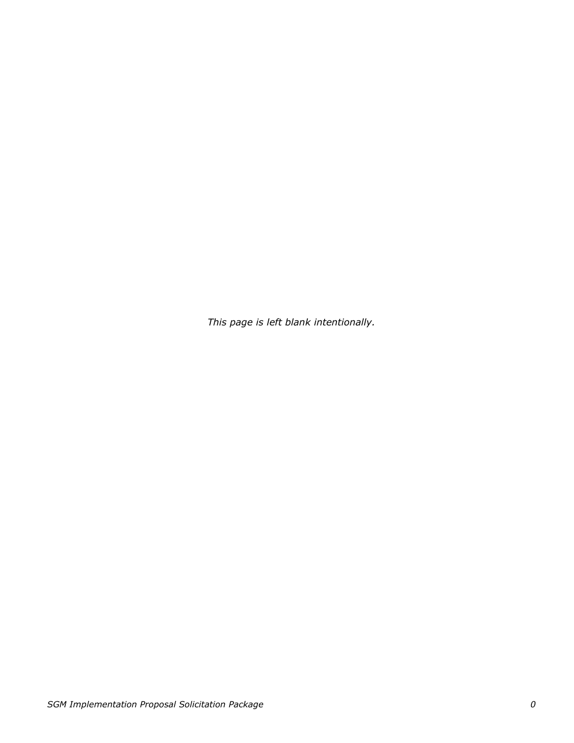*This page is left blank intentionally.*